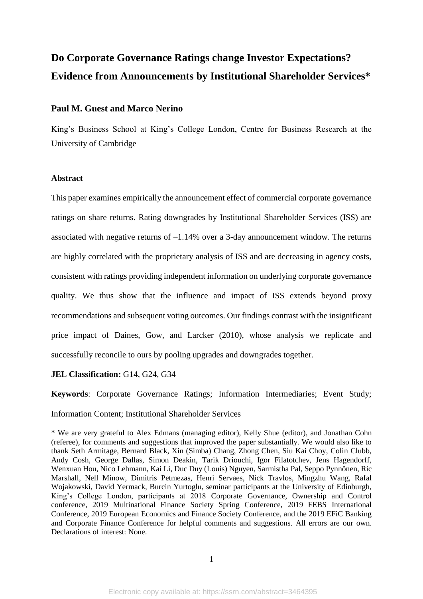# **Do Corporate Governance Ratings change Investor Expectations? Evidence from Announcements by Institutional Shareholder Services\***

# **Paul M. Guest and Marco Nerino**

King's Business School at King's College London, Centre for Business Research at the University of Cambridge

# **Abstract**

This paper examines empirically the announcement effect of commercial corporate governance ratings on share returns. Rating downgrades by Institutional Shareholder Services (ISS) are associated with negative returns of –1.14% over a 3-day announcement window. The returns are highly correlated with the proprietary analysis of ISS and are decreasing in agency costs, consistent with ratings providing independent information on underlying corporate governance quality. We thus show that the influence and impact of ISS extends beyond proxy recommendations and subsequent voting outcomes. Our findings contrast with the insignificant price impact of Daines, Gow, and Larcker (2010), whose analysis we replicate and successfully reconcile to ours by pooling upgrades and downgrades together.

# **JEL Classification:** G14, G24, G34

**Keywords**: Corporate Governance Ratings; Information Intermediaries; Event Study; Information Content; Institutional Shareholder Services

<sup>\*</sup> We are very grateful to Alex Edmans (managing editor), Kelly Shue (editor), and Jonathan Cohn (referee), for comments and suggestions that improved the paper substantially. We would also like to thank Seth Armitage, Bernard Black, Xin (Simba) Chang, Zhong Chen, Siu Kai Choy, Colin Clubb, Andy Cosh, George Dallas, Simon Deakin, Tarik Driouchi, Igor Filatotchev, Jens Hagendorff, Wenxuan Hou, Nico Lehmann, Kai Li, Duc Duy (Louis) Nguyen, Sarmistha Pal, Seppo Pynnönen, Ric Marshall, Nell Minow, Dimitris Petmezas, Henri Servaes, Nick Travlos, Mingzhu Wang, Rafal Wojakowski, David Yermack, Burcin Yurtoglu, seminar participants at the University of Edinburgh, King's College London, participants at 2018 Corporate Governance, Ownership and Control conference, 2019 Multinational Finance Society Spring Conference, 2019 FEBS International Conference, 2019 European Economics and Finance Society Conference, and the 2019 EFiC Banking and Corporate Finance Conference for helpful comments and suggestions. All errors are our own. Declarations of interest: None.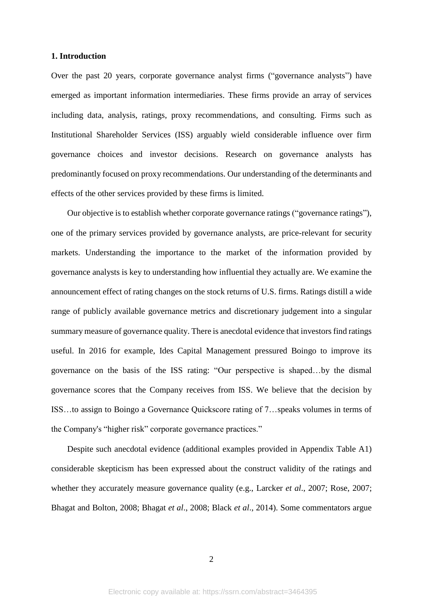#### **1. Introduction**

Over the past 20 years, corporate governance analyst firms ("governance analysts") have emerged as important information intermediaries. These firms provide an array of services including data, analysis, ratings, proxy recommendations, and consulting. Firms such as Institutional Shareholder Services (ISS) arguably wield considerable influence over firm governance choices and investor decisions. Research on governance analysts has predominantly focused on proxy recommendations. Our understanding of the determinants and effects of the other services provided by these firms is limited.

Our objective is to establish whether corporate governance ratings ("governance ratings"), one of the primary services provided by governance analysts, are price-relevant for security markets. Understanding the importance to the market of the information provided by governance analysts is key to understanding how influential they actually are. We examine the announcement effect of rating changes on the stock returns of U.S. firms. Ratings distill a wide range of publicly available governance metrics and discretionary judgement into a singular summary measure of governance quality. There is anecdotal evidence that investors find ratings useful. In 2016 for example, Ides Capital Management pressured Boingo to improve its governance on the basis of the ISS rating: "Our perspective is shaped…by the dismal governance scores that the Company receives from ISS. We believe that the decision by ISS…to assign to Boingo a Governance Quickscore rating of 7…speaks volumes in terms of the Company's "higher risk" corporate governance practices."

Despite such anecdotal evidence (additional examples provided in Appendix Table A1) considerable skepticism has been expressed about the construct validity of the ratings and whether they accurately measure governance quality (e.g., Larcker *et al*., 2007; Rose, 2007; Bhagat and Bolton, 2008; Bhagat *et al*., 2008; Black *et al*., 2014). Some commentators argue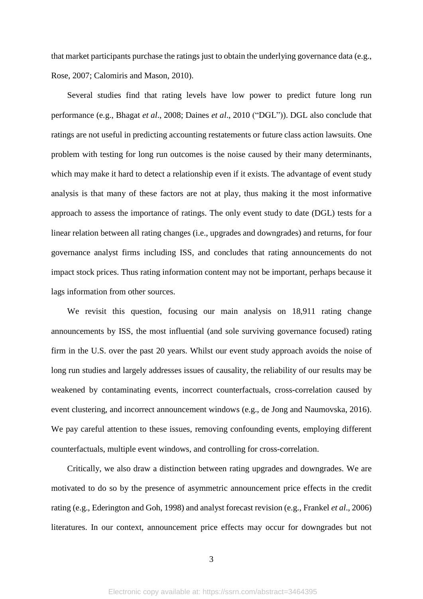that market participants purchase the ratings just to obtain the underlying governance data (e.g., Rose, 2007; Calomiris and Mason, 2010).

Several studies find that rating levels have low power to predict future long run performance (e.g., Bhagat *et al*., 2008; Daines *et al*., 2010 ("DGL")). DGL also conclude that ratings are not useful in predicting accounting restatements or future class action lawsuits. One problem with testing for long run outcomes is the noise caused by their many determinants, which may make it hard to detect a relationship even if it exists. The advantage of event study analysis is that many of these factors are not at play, thus making it the most informative approach to assess the importance of ratings. The only event study to date (DGL) tests for a linear relation between all rating changes (i.e., upgrades and downgrades) and returns, for four governance analyst firms including ISS, and concludes that rating announcements do not impact stock prices. Thus rating information content may not be important, perhaps because it lags information from other sources.

We revisit this question, focusing our main analysis on 18,911 rating change announcements by ISS, the most influential (and sole surviving governance focused) rating firm in the U.S. over the past 20 years. Whilst our event study approach avoids the noise of long run studies and largely addresses issues of causality, the reliability of our results may be weakened by contaminating events, incorrect counterfactuals, cross-correlation caused by event clustering, and incorrect announcement windows (e.g., de Jong and Naumovska, 2016). We pay careful attention to these issues, removing confounding events, employing different counterfactuals, multiple event windows, and controlling for cross-correlation.

Critically, we also draw a distinction between rating upgrades and downgrades. We are motivated to do so by the presence of asymmetric announcement price effects in the credit rating (e.g., Ederington and Goh, 1998) and analyst forecast revision (e.g., Frankel *et al*., 2006) literatures. In our context, announcement price effects may occur for downgrades but not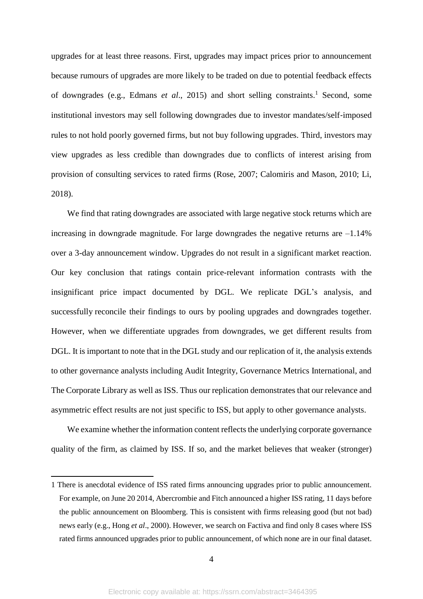upgrades for at least three reasons. First, upgrades may impact prices prior to announcement because rumours of upgrades are more likely to be traded on due to potential feedback effects of downgrades (e.g., Edmans *et al*., 2015) and short selling constraints. <sup>1</sup> Second, some institutional investors may sell following downgrades due to investor mandates/self‐imposed rules to not hold poorly governed firms, but not buy following upgrades. Third, investors may view upgrades as less credible than downgrades due to conflicts of interest arising from provision of consulting services to rated firms (Rose, 2007; Calomiris and Mason, 2010; Li, 2018).

We find that rating downgrades are associated with large negative stock returns which are increasing in downgrade magnitude. For large downgrades the negative returns are  $-1.14\%$ over a 3-day announcement window. Upgrades do not result in a significant market reaction. Our key conclusion that ratings contain price-relevant information contrasts with the insignificant price impact documented by DGL. We replicate DGL's analysis, and successfully reconcile their findings to ours by pooling upgrades and downgrades together. However, when we differentiate upgrades from downgrades, we get different results from DGL. It is important to note that in the DGL study and our replication of it, the analysis extends to other governance analysts including Audit Integrity, Governance Metrics International, and The Corporate Library as well as ISS. Thus our replication demonstrates that our relevance and asymmetric effect results are not just specific to ISS, but apply to other governance analysts.

We examine whether the information content reflects the underlying corporate governance quality of the firm, as claimed by ISS. If so, and the market believes that weaker (stronger)

<sup>1</sup> There is anecdotal evidence of ISS rated firms announcing upgrades prior to public announcement. For example, on June 20 2014, Abercrombie and Fitch announced a higher ISS rating, 11 days before the public announcement on Bloomberg. This is consistent with firms releasing good (but not bad) news early (e.g., Hong *et al*., 2000). However, we search on Factiva and find only 8 cases where ISS rated firms announced upgrades prior to public announcement, of which none are in our final dataset.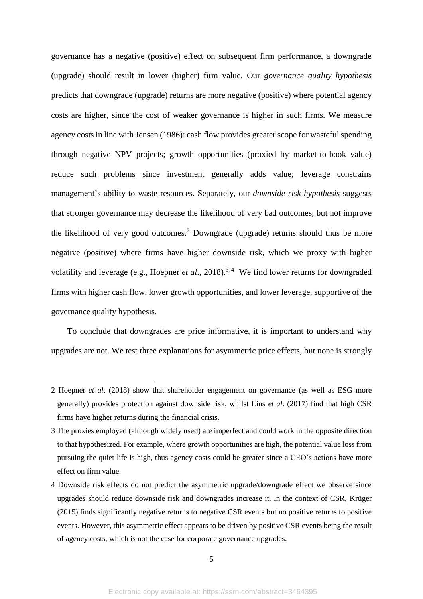governance has a negative (positive) effect on subsequent firm performance, a downgrade (upgrade) should result in lower (higher) firm value. Our *governance quality hypothesis*  predicts that downgrade (upgrade) returns are more negative (positive) where potential agency costs are higher, since the cost of weaker governance is higher in such firms. We measure agency costs in line with Jensen (1986): cash flow provides greater scope for wasteful spending through negative NPV projects; growth opportunities (proxied by market-to-book value) reduce such problems since investment generally adds value; leverage constrains management's ability to waste resources. Separately, our *downside risk hypothesis* suggests that stronger governance may decrease the likelihood of very bad outcomes, but not improve the likelihood of very good outcomes.<sup>2</sup> Downgrade (upgrade) returns should thus be more negative (positive) where firms have higher downside risk, which we proxy with higher volatility and leverage (e.g., Hoepner *et al.*, 2018).<sup>3,4</sup> We find lower returns for downgraded firms with higher cash flow, lower growth opportunities, and lower leverage, supportive of the governance quality hypothesis.

To conclude that downgrades are price informative, it is important to understand why upgrades are not. We test three explanations for asymmetric price effects, but none is strongly

**.** 

<sup>2</sup> Hoepner *et al*. (2018) show that shareholder engagement on governance (as well as ESG more generally) provides protection against downside risk, whilst Lins *et al*. (2017) find that high CSR firms have higher returns during the financial crisis.

<sup>3</sup> The proxies employed (although widely used) are imperfect and could work in the opposite direction to that hypothesized. For example, where growth opportunities are high, the potential value loss from pursuing the quiet life is high, thus agency costs could be greater since a CEO's actions have more effect on firm value.

<sup>4</sup> Downside risk effects do not predict the asymmetric upgrade/downgrade effect we observe since upgrades should reduce downside risk and downgrades increase it. In the context of CSR, Krüger (2015) finds significantly negative returns to negative CSR events but no positive returns to positive events. However, this asymmetric effect appears to be driven by positive CSR events being the result of agency costs, which is not the case for corporate governance upgrades.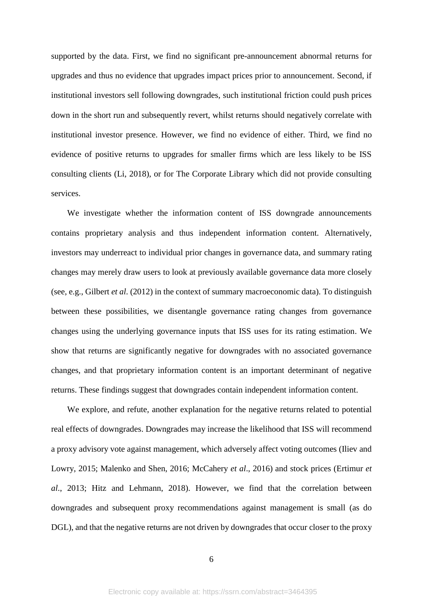supported by the data. First, we find no significant pre-announcement abnormal returns for upgrades and thus no evidence that upgrades impact prices prior to announcement. Second, if institutional investors sell following downgrades, such institutional friction could push prices down in the short run and subsequently revert, whilst returns should negatively correlate with institutional investor presence. However, we find no evidence of either. Third, we find no evidence of positive returns to upgrades for smaller firms which are less likely to be ISS consulting clients (Li, 2018), or for The Corporate Library which did not provide consulting services.

We investigate whether the information content of ISS downgrade announcements contains proprietary analysis and thus independent information content. Alternatively, investors may underreact to individual prior changes in governance data, and summary rating changes may merely draw users to look at previously available governance data more closely (see, e.g., Gilbert *et al*. (2012) in the context of summary macroeconomic data). To distinguish between these possibilities, we disentangle governance rating changes from governance changes using the underlying governance inputs that ISS uses for its rating estimation. We show that returns are significantly negative for downgrades with no associated governance changes, and that proprietary information content is an important determinant of negative returns. These findings suggest that downgrades contain independent information content.

We explore, and refute, another explanation for the negative returns related to potential real effects of downgrades. Downgrades may increase the likelihood that ISS will recommend a proxy advisory vote against management, which adversely affect voting outcomes (Iliev and Lowry, 2015; Malenko and Shen, 2016; McCahery *et al*., 2016) and stock prices (Ertimur *et al*., 2013; Hitz and Lehmann, 2018). However, we find that the correlation between downgrades and subsequent proxy recommendations against management is small (as do DGL), and that the negative returns are not driven by downgrades that occur closer to the proxy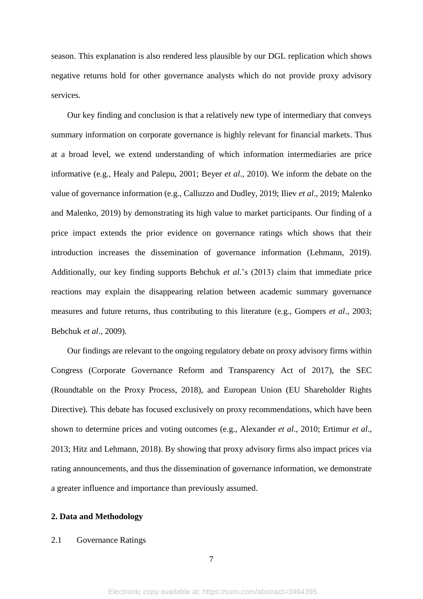season. This explanation is also rendered less plausible by our DGL replication which shows negative returns hold for other governance analysts which do not provide proxy advisory services.

Our key finding and conclusion is that a relatively new type of intermediary that conveys summary information on corporate governance is highly relevant for financial markets. Thus at a broad level, we extend understanding of which information intermediaries are price informative (e.g., Healy and Palepu, 2001; Beyer *et al*., 2010). We inform the debate on the value of governance information (e.g., Calluzzo and Dudley, 2019; Iliev *et al*., 2019; Malenko and Malenko, 2019) by demonstrating its high value to market participants. Our finding of a price impact extends the prior evidence on governance ratings which shows that their introduction increases the dissemination of governance information (Lehmann, 2019). Additionally, our key finding supports Bebchuk *et al.*'s (2013) claim that immediate price reactions may explain the disappearing relation between academic summary governance measures and future returns, thus contributing to this literature (e.g., Gompers *et al*., 2003; Bebchuk *et al*., 2009).

Our findings are relevant to the ongoing regulatory debate on proxy advisory firms within Congress (Corporate Governance Reform and Transparency Act of 2017), the SEC (Roundtable on the Proxy Process, 2018), and European Union (EU Shareholder Rights Directive). This debate has focused exclusively on proxy recommendations, which have been shown to determine prices and voting outcomes (e.g., Alexander *et al*., 2010; Ertimur *et al*., 2013; Hitz and Lehmann, 2018). By showing that proxy advisory firms also impact prices via rating announcements, and thus the dissemination of governance information, we demonstrate a greater influence and importance than previously assumed.

#### **2. Data and Methodology**

#### 2.1 Governance Ratings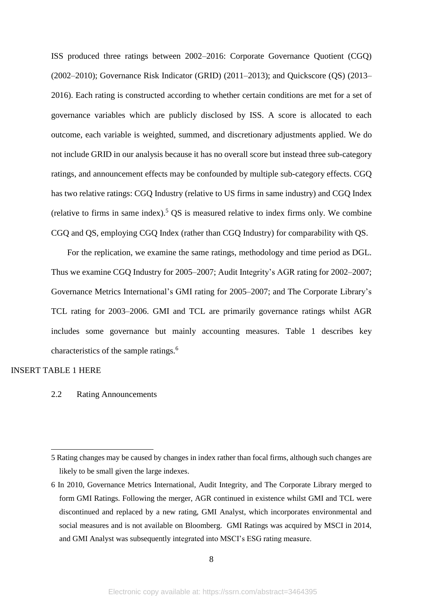ISS produced three ratings between 2002–2016: Corporate Governance Quotient (CGQ) (2002–2010); Governance Risk Indicator (GRID) (2011–2013); and Quickscore (QS) (2013– 2016). Each rating is constructed according to whether certain conditions are met for a set of governance variables which are publicly disclosed by ISS. A score is allocated to each outcome, each variable is weighted, summed, and discretionary adjustments applied. We do not include GRID in our analysis because it has no overall score but instead three sub-category ratings, and announcement effects may be confounded by multiple sub-category effects. CGQ has two relative ratings: CGQ Industry (relative to US firms in same industry) and CGQ Index (relative to firms in same index). <sup>5</sup> QS is measured relative to index firms only. We combine CGQ and QS, employing CGQ Index (rather than CGQ Industry) for comparability with QS.

For the replication, we examine the same ratings, methodology and time period as DGL. Thus we examine CGQ Industry for 2005–2007; Audit Integrity's AGR rating for 2002–2007; Governance Metrics International's GMI rating for 2005–2007; and The Corporate Library's TCL rating for 2003–2006. GMI and TCL are primarily governance ratings whilst AGR includes some governance but mainly accounting measures. Table 1 describes key characteristics of the sample ratings.<sup>6</sup>

# INSERT TABLE 1 HERE

**.** 

# 2.2 Rating Announcements

<sup>5</sup> Rating changes may be caused by changes in index rather than focal firms, although such changes are likely to be small given the large indexes.

<sup>6</sup> In 2010, Governance Metrics International, Audit Integrity, and The Corporate Library merged to form GMI Ratings. Following the merger, AGR continued in existence whilst GMI and TCL were discontinued and replaced by a new rating, GMI Analyst, which incorporates environmental and social measures and is not available on Bloomberg. GMI Ratings was acquired by MSCI in 2014, and GMI Analyst was subsequently integrated into MSCI's ESG rating measure.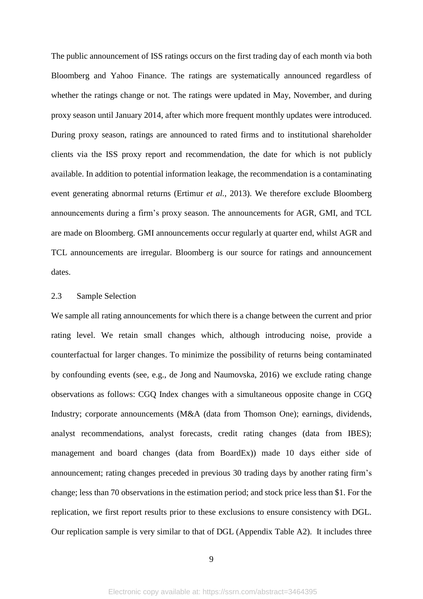The public announcement of ISS ratings occurs on the first trading day of each month via both Bloomberg and Yahoo Finance. The ratings are systematically announced regardless of whether the ratings change or not. The ratings were updated in May, November, and during proxy season until January 2014, after which more frequent monthly updates were introduced. During proxy season, ratings are announced to rated firms and to institutional shareholder clients via the ISS proxy report and recommendation, the date for which is not publicly available. In addition to potential information leakage, the recommendation is a contaminating event generating abnormal returns (Ertimur *et al.*, 2013). We therefore exclude Bloomberg announcements during a firm's proxy season. The announcements for AGR, GMI, and TCL are made on Bloomberg. GMI announcements occur regularly at quarter end, whilst AGR and TCL announcements are irregular. Bloomberg is our source for ratings and announcement dates.

#### 2.3 Sample Selection

We sample all rating announcements for which there is a change between the current and prior rating level. We retain small changes which, although introducing noise, provide a counterfactual for larger changes. To minimize the possibility of returns being contaminated by confounding events (see, e.g., [de Jong](javascript:;) and [Naumovska,](javascript:;) 2016) we exclude rating change observations as follows: CGQ Index changes with a simultaneous opposite change in CGQ Industry; corporate announcements (M&A (data from Thomson One); earnings, dividends, analyst recommendations, analyst forecasts, credit rating changes (data from IBES); management and board changes (data from BoardEx)) made 10 days either side of announcement; rating changes preceded in previous 30 trading days by another rating firm's change; less than 70 observations in the estimation period; and stock price less than \$1. For the replication, we first report results prior to these exclusions to ensure consistency with DGL. Our replication sample is very similar to that of DGL (Appendix Table A2). It includes three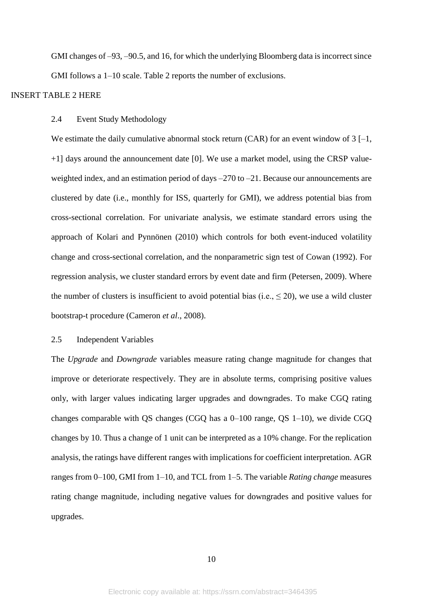GMI changes of –93, –90.5, and 16, for which the underlying Bloomberg data is incorrect since GMI follows a 1–10 scale. Table 2 reports the number of exclusions.

# INSERT TABLE 2 HERE

## 2.4 Event Study Methodology

We estimate the daily cumulative abnormal stock return  $(CAR)$  for an event window of 3 [-1, +1] days around the announcement date [0]. We use a market model, using the CRSP valueweighted index, and an estimation period of days –270 to –21. Because our announcements are clustered by date (i.e., monthly for ISS, quarterly for GMI), we address potential bias from cross-sectional correlation. For univariate analysis, we estimate standard errors using the approach of Kolari and Pynnönen (2010) which controls for both event-induced volatility change and cross-sectional correlation, and the nonparametric sign test of Cowan (1992). For regression analysis, we cluster standard errors by event date and firm (Petersen, 2009). Where the number of clusters is insufficient to avoid potential bias (i.e.,  $\leq$  20), we use a wild cluster bootstrap-t procedure (Cameron *et al*., 2008).

# 2.5 Independent Variables

The *Upgrade* and *Downgrade* variables measure rating change magnitude for changes that improve or deteriorate respectively. They are in absolute terms, comprising positive values only, with larger values indicating larger upgrades and downgrades. To make CGQ rating changes comparable with QS changes (CGQ has a 0–100 range, QS 1–10), we divide CGQ changes by 10. Thus a change of 1 unit can be interpreted as a 10% change. For the replication analysis, the ratings have different ranges with implications for coefficient interpretation. AGR ranges from 0–100, GMI from 1–10, and TCL from 1–5. The variable *Rating change* measures rating change magnitude, including negative values for downgrades and positive values for upgrades.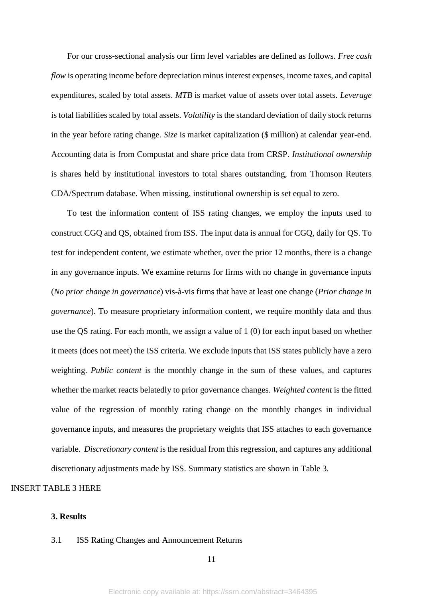For our cross-sectional analysis our firm level variables are defined as follows. *Free cash flow* is operating income before depreciation minus interest expenses, income taxes, and capital expenditures, scaled by total assets. *MTB* is market value of assets over total assets. *Leverage* is total liabilities scaled by total assets. *Volatility* is the standard deviation of daily stock returns in the year before rating change. *Size* is market capitalization (\$ million) at calendar year-end. Accounting data is from Compustat and share price data from CRSP. *Institutional ownership* is shares held by institutional investors to total shares outstanding, from Thomson Reuters CDA/Spectrum database. When missing, institutional ownership is set equal to zero.

To test the information content of ISS rating changes, we employ the inputs used to construct CGQ and QS, obtained from ISS. The input data is annual for CGQ, daily for QS. To test for independent content, we estimate whether, over the prior 12 months, there is a change in any governance inputs. We examine returns for firms with no change in governance inputs (*No prior change in governance*) vis-à-vis firms that have at least one change (*Prior change in governance*). To measure proprietary information content, we require monthly data and thus use the QS rating. For each month, we assign a value of 1 (0) for each input based on whether it meets (does not meet) the ISS criteria. We exclude inputs that ISS states publicly have a zero weighting. *Public content* is the monthly change in the sum of these values, and captures whether the market reacts belatedly to prior governance changes. *Weighted content* is the fitted value of the regression of monthly rating change on the monthly changes in individual governance inputs, and measures the proprietary weights that ISS attaches to each governance variable. *Discretionary content* is the residual from this regression, and captures any additional discretionary adjustments made by ISS. Summary statistics are shown in Table 3.

INSERT TABLE 3 HERE

# **3. Results**

#### 3.1 ISS Rating Changes and Announcement Returns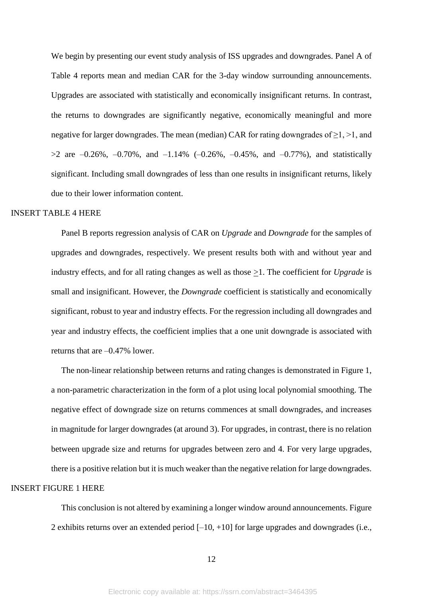We begin by presenting our event study analysis of ISS upgrades and downgrades. Panel A of Table 4 reports mean and median CAR for the 3-day window surrounding announcements. Upgrades are associated with statistically and economically insignificant returns. In contrast, the returns to downgrades are significantly negative, economically meaningful and more negative for larger downgrades. The mean (median) CAR for rating downgrades of  $\geq$ 1,  $>$ 1, and  $>2$  are  $-0.26\%$ ,  $-0.70\%$ , and  $-1.14\%$  ( $-0.26\%$ ,  $-0.45\%$ , and  $-0.77\%$ ), and statistically significant. Including small downgrades of less than one results in insignificant returns, likely due to their lower information content.

#### INSERT TABLE 4 HERE

Panel B reports regression analysis of CAR on *Upgrade* and *Downgrade* for the samples of upgrades and downgrades, respectively. We present results both with and without year and industry effects, and for all rating changes as well as those >1. The coefficient for *Upgrade* is small and insignificant. However, the *Downgrade* coefficient is statistically and economically significant, robust to year and industry effects. For the regression including all downgrades and year and industry effects, the coefficient implies that a one unit downgrade is associated with returns that are –0.47% lower.

The non-linear relationship between returns and rating changes is demonstrated in Figure 1, a non-parametric characterization in the form of a plot using local polynomial smoothing. The negative effect of downgrade size on returns commences at small downgrades, and increases in magnitude for larger downgrades (at around 3). For upgrades, in contrast, there is no relation between upgrade size and returns for upgrades between zero and 4. For very large upgrades, there is a positive relation but it is much weaker than the negative relation for large downgrades. INSERT FIGURE 1 HERE

> This conclusion is not altered by examining a longer window around announcements. Figure 2 exhibits returns over an extended period  $[-10, +10]$  for large upgrades and downgrades (i.e.,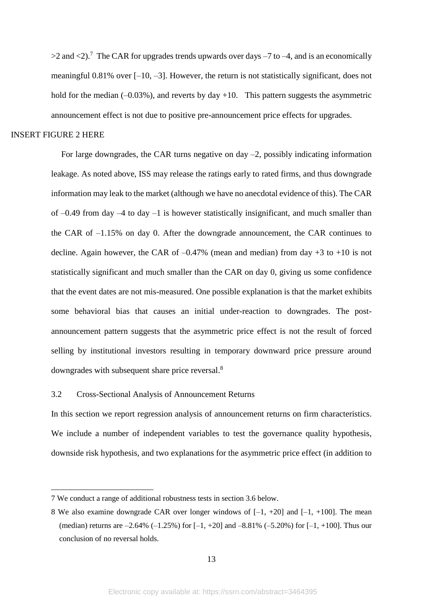$>2$  and  $<$ 2).<sup>7</sup> The CAR for upgrades trends upwards over days  $-7$  to  $-4$ , and is an economically meaningful 0.81% over [–10, –3]. However, the return is not statistically significant, does not hold for the median  $(-0.03\%)$ , and reverts by day  $+10$ . This pattern suggests the asymmetric announcement effect is not due to positive pre-announcement price effects for upgrades.

# INSERT FIGURE 2 HERE

**.** 

For large downgrades, the CAR turns negative on day  $-2$ , possibly indicating information leakage. As noted above, ISS may release the ratings early to rated firms, and thus downgrade information may leak to the market (although we have no anecdotal evidence of this). The CAR of –0.49 from day –4 to day –1 is however statistically insignificant, and much smaller than the CAR of –1.15% on day 0. After the downgrade announcement, the CAR continues to decline. Again however, the CAR of  $-0.47\%$  (mean and median) from day  $+3$  to  $+10$  is not statistically significant and much smaller than the CAR on day 0, giving us some confidence that the event dates are not mis-measured. One possible explanation is that the market exhibits some behavioral bias that causes an initial under-reaction to downgrades. The postannouncement pattern suggests that the asymmetric price effect is not the result of forced selling by institutional investors resulting in temporary downward price pressure around downgrades with subsequent share price reversal.<sup>8</sup>

# 3.2 Cross-Sectional Analysis of Announcement Returns

In this section we report regression analysis of announcement returns on firm characteristics. We include a number of independent variables to test the governance quality hypothesis, downside risk hypothesis, and two explanations for the asymmetric price effect (in addition to

<sup>7</sup> We conduct a range of additional robustness tests in section 3.6 below.

<sup>8</sup> We also examine downgrade CAR over longer windows of  $[-1, +20]$  and  $[-1, +100]$ . The mean (median) returns are  $-2.64\%$  ( $-1.25\%$ ) for [ $-1, +20$ ] and  $-8.81\%$  ( $-5.20\%$ ) for [ $-1, +100$ ]. Thus our conclusion of no reversal holds.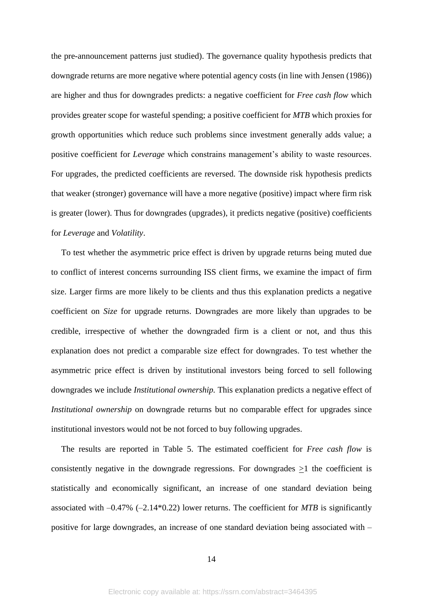the pre-announcement patterns just studied). The governance quality hypothesis predicts that downgrade returns are more negative where potential agency costs (in line with Jensen (1986)) are higher and thus for downgrades predicts: a negative coefficient for *Free cash flow* which provides greater scope for wasteful spending; a positive coefficient for *MTB* which proxies for growth opportunities which reduce such problems since investment generally adds value; a positive coefficient for *Leverage* which constrains management's ability to waste resources. For upgrades, the predicted coefficients are reversed. The downside risk hypothesis predicts that weaker (stronger) governance will have a more negative (positive) impact where firm risk is greater (lower). Thus for downgrades (upgrades), it predicts negative (positive) coefficients for *Leverage* and *Volatility*.

To test whether the asymmetric price effect is driven by upgrade returns being muted due to conflict of interest concerns surrounding ISS client firms, we examine the impact of firm size. Larger firms are more likely to be clients and thus this explanation predicts a negative coefficient on *Size* for upgrade returns. Downgrades are more likely than upgrades to be credible, irrespective of whether the downgraded firm is a client or not, and thus this explanation does not predict a comparable size effect for downgrades. To test whether the asymmetric price effect is driven by institutional investors being forced to sell following downgrades we include *Institutional ownership.* This explanation predicts a negative effect of *Institutional ownership* on downgrade returns but no comparable effect for upgrades since institutional investors would not be not forced to buy following upgrades.

The results are reported in Table 5. The estimated coefficient for *Free cash flow* is consistently negative in the downgrade regressions. For downgrades  $\geq 1$  the coefficient is statistically and economically significant, an increase of one standard deviation being associated with –0.47% (–2.14\*0.22) lower returns. The coefficient for *MTB* is significantly positive for large downgrades, an increase of one standard deviation being associated with –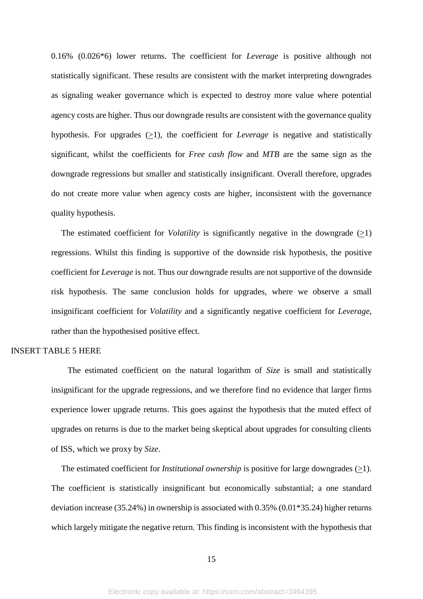0.16% (0.026\*6) lower returns. The coefficient for *Leverage* is positive although not statistically significant. These results are consistent with the market interpreting downgrades as signaling weaker governance which is expected to destroy more value where potential agency costs are higher. Thus our downgrade results are consistent with the governance quality hypothesis. For upgrades  $(21)$ , the coefficient for *Leverage* is negative and statistically significant, whilst the coefficients for *Free cash flow* and *MTB* are the same sign as the downgrade regressions but smaller and statistically insignificant. Overall therefore, upgrades do not create more value when agency costs are higher, inconsistent with the governance quality hypothesis.

The estimated coefficient for *Volatility* is significantly negative in the downgrade (>1) regressions. Whilst this finding is supportive of the downside risk hypothesis, the positive coefficient for *Leverage* is not. Thus our downgrade results are not supportive of the downside risk hypothesis. The same conclusion holds for upgrades, where we observe a small insignificant coefficient for *Volatility* and a significantly negative coefficient for *Leverage*, rather than the hypothesised positive effect.

# INSERT TABLE 5 HERE

 The estimated coefficient on the natural logarithm of *Size* is small and statistically insignificant for the upgrade regressions, and we therefore find no evidence that larger firms experience lower upgrade returns. This goes against the hypothesis that the muted effect of upgrades on returns is due to the market being skeptical about upgrades for consulting clients of ISS, which we proxy by *Size*.

The estimated coefficient for *Institutional ownership* is positive for large downgrades (>1). The coefficient is statistically insignificant but economically substantial; a one standard deviation increase (35.24%) in ownership is associated with 0.35% (0.01\*35.24) higher returns which largely mitigate the negative return. This finding is inconsistent with the hypothesis that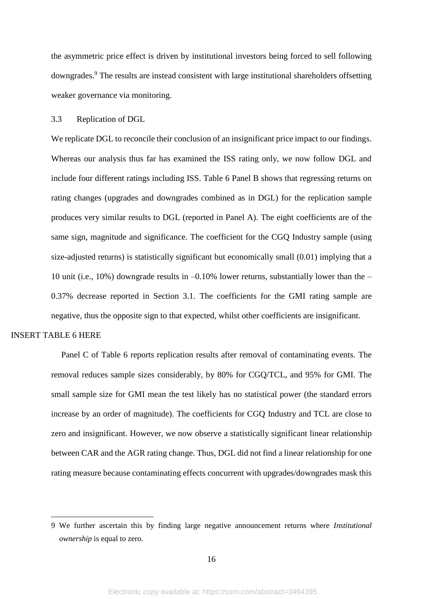the asymmetric price effect is driven by institutional investors being forced to sell following downgrades.<sup>9</sup> The results are instead consistent with large institutional shareholders offsetting weaker governance via monitoring.

#### 3.3 Replication of DGL

We replicate DGL to reconcile their conclusion of an insignificant price impact to our findings. Whereas our analysis thus far has examined the ISS rating only, we now follow DGL and include four different ratings including ISS. Table 6 Panel B shows that regressing returns on rating changes (upgrades and downgrades combined as in DGL) for the replication sample produces very similar results to DGL (reported in Panel A). The eight coefficients are of the same sign, magnitude and significance. The coefficient for the CGQ Industry sample (using size-adjusted returns) is statistically significant but economically small (0.01) implying that a 10 unit (i.e., 10%) downgrade results in –0.10% lower returns, substantially lower than the – 0.37% decrease reported in Section 3.1. The coefficients for the GMI rating sample are negative, thus the opposite sign to that expected, whilst other coefficients are insignificant.

# INSERT TABLE 6 HERE

1

Panel C of Table 6 reports replication results after removal of contaminating events. The removal reduces sample sizes considerably, by 80% for CGQ/TCL, and 95% for GMI. The small sample size for GMI mean the test likely has no statistical power (the standard errors increase by an order of magnitude). The coefficients for CGQ Industry and TCL are close to zero and insignificant. However, we now observe a statistically significant linear relationship between CAR and the AGR rating change. Thus, DGL did not find a linear relationship for one rating measure because contaminating effects concurrent with upgrades/downgrades mask this

<sup>9</sup> We further ascertain this by finding large negative announcement returns where *Institutional ownership* is equal to zero.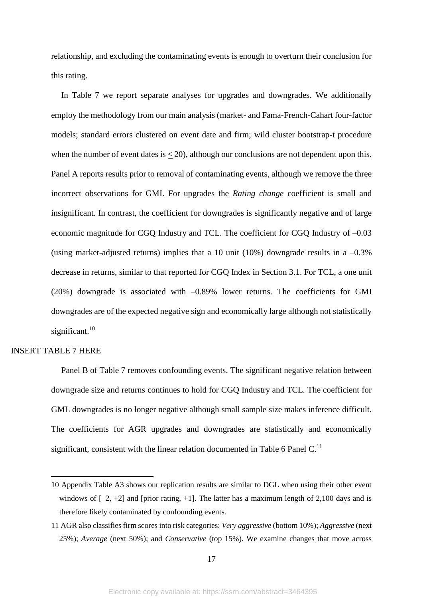relationship, and excluding the contaminating events is enough to overturn their conclusion for this rating.

In Table 7 we report separate analyses for upgrades and downgrades. We additionally employ the methodology from our main analysis (market- and Fama-French-Cahart four-factor models; standard errors clustered on event date and firm; wild cluster bootstrap-t procedure when the number of event dates is  $\leq$  20), although our conclusions are not dependent upon this. Panel A reports results prior to removal of contaminating events, although we remove the three incorrect observations for GMI. For upgrades the *Rating change* coefficient is small and insignificant. In contrast, the coefficient for downgrades is significantly negative and of large economic magnitude for CGQ Industry and TCL. The coefficient for CGQ Industry of –0.03 (using market-adjusted returns) implies that a 10 unit (10%) downgrade results in a  $-0.3\%$ decrease in returns, similar to that reported for CGQ Index in Section 3.1. For TCL, a one unit (20%) downgrade is associated with –0.89% lower returns. The coefficients for GMI downgrades are of the expected negative sign and economically large although not statistically significant.<sup>10</sup>

# INSERT TABLE 7 HERE

1

Panel B of Table 7 removes confounding events. The significant negative relation between downgrade size and returns continues to hold for CGQ Industry and TCL. The coefficient for GML downgrades is no longer negative although small sample size makes inference difficult. The coefficients for AGR upgrades and downgrades are statistically and economically significant, consistent with the linear relation documented in Table 6 Panel  $C<sup>11</sup>$ 

<sup>10</sup> Appendix Table A3 shows our replication results are similar to DGL when using their other event windows of  $[-2, +2]$  and [prior rating, +1]. The latter has a maximum length of 2,100 days and is therefore likely contaminated by confounding events.

<sup>11</sup> AGR also classifies firm scores into risk categories: *Very aggressive* (bottom 10%); *Aggressive* (next 25%); *Average* (next 50%); and *Conservative* (top 15%). We examine changes that move across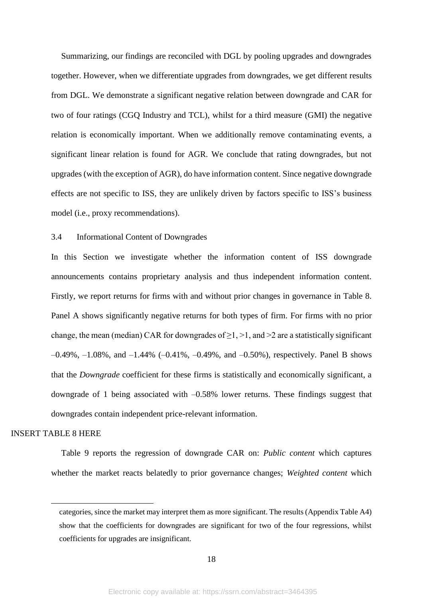Summarizing, our findings are reconciled with DGL by pooling upgrades and downgrades together. However, when we differentiate upgrades from downgrades, we get different results from DGL. We demonstrate a significant negative relation between downgrade and CAR for two of four ratings (CGQ Industry and TCL), whilst for a third measure (GMI) the negative relation is economically important. When we additionally remove contaminating events, a significant linear relation is found for AGR. We conclude that rating downgrades, but not upgrades (with the exception of AGR), do have information content. Since negative downgrade effects are not specific to ISS, they are unlikely driven by factors specific to ISS's business model (i.e., proxy recommendations).

## 3.4 Informational Content of Downgrades

In this Section we investigate whether the information content of ISS downgrade announcements contains proprietary analysis and thus independent information content. Firstly, we report returns for firms with and without prior changes in governance in Table 8. Panel A shows significantly negative returns for both types of firm. For firms with no prior change, the mean (median) CAR for downgrades of  $\geq 1$ ,  $\geq 1$ , and  $\geq 2$  are a statistically significant –0.49%, –1.08%, and –1.44% (–0.41%, –0.49%, and –0.50%), respectively. Panel B shows that the *Downgrade* coefficient for these firms is statistically and economically significant, a downgrade of 1 being associated with –0.58% lower returns. These findings suggest that downgrades contain independent price-relevant information.

# INSERT TABLE 8 HERE

**.** 

Table 9 reports the regression of downgrade CAR on: *Public content* which captures whether the market reacts belatedly to prior governance changes; *Weighted content* which

categories, since the market may interpret them as more significant. The results (Appendix Table A4) show that the coefficients for downgrades are significant for two of the four regressions, whilst coefficients for upgrades are insignificant.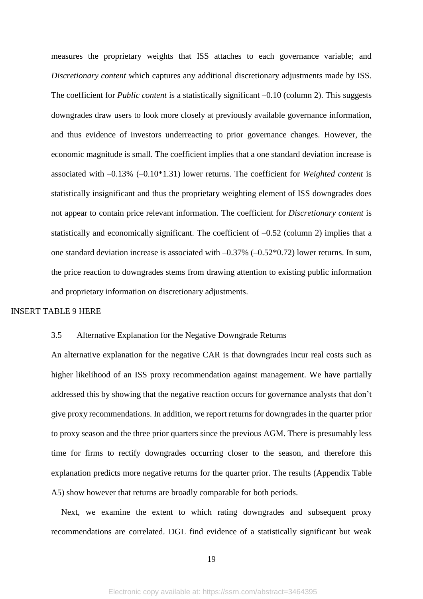measures the proprietary weights that ISS attaches to each governance variable; and *Discretionary content* which captures any additional discretionary adjustments made by ISS. The coefficient for *Public content* is a statistically significant –0.10 (column 2). This suggests downgrades draw users to look more closely at previously available governance information, and thus evidence of investors underreacting to prior governance changes. However, the economic magnitude is small. The coefficient implies that a one standard deviation increase is associated with –0.13% (–0.10\*1.31) lower returns. The coefficient for *Weighted content* is statistically insignificant and thus the proprietary weighting element of ISS downgrades does not appear to contain price relevant information. The coefficient for *Discretionary content* is statistically and economically significant. The coefficient of –0.52 (column 2) implies that a one standard deviation increase is associated with  $-0.37\%$   $(-0.52*0.72)$  lower returns. In sum, the price reaction to downgrades stems from drawing attention to existing public information and proprietary information on discretionary adjustments.

# INSERT TABLE 9 HERE

#### 3.5 Alternative Explanation for the Negative Downgrade Returns

An alternative explanation for the negative CAR is that downgrades incur real costs such as higher likelihood of an ISS proxy recommendation against management. We have partially addressed this by showing that the negative reaction occurs for governance analysts that don't give proxy recommendations. In addition, we report returns for downgrades in the quarter prior to proxy season and the three prior quarters since the previous AGM. There is presumably less time for firms to rectify downgrades occurring closer to the season, and therefore this explanation predicts more negative returns for the quarter prior. The results (Appendix Table A5) show however that returns are broadly comparable for both periods.

Next, we examine the extent to which rating downgrades and subsequent proxy recommendations are correlated. DGL find evidence of a statistically significant but weak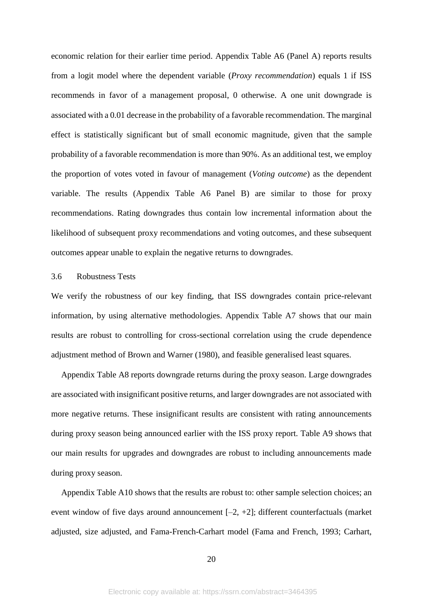economic relation for their earlier time period. Appendix Table A6 (Panel A) reports results from a logit model where the dependent variable (*Proxy recommendation*) equals 1 if ISS recommends in favor of a management proposal, 0 otherwise. A one unit downgrade is associated with a 0.01 decrease in the probability of a favorable recommendation. The marginal effect is statistically significant but of small economic magnitude, given that the sample probability of a favorable recommendation is more than 90%. As an additional test, we employ the proportion of votes voted in favour of management (*Voting outcome*) as the dependent variable. The results (Appendix Table A6 Panel B) are similar to those for proxy recommendations. Rating downgrades thus contain low incremental information about the likelihood of subsequent proxy recommendations and voting outcomes, and these subsequent outcomes appear unable to explain the negative returns to downgrades.

# 3.6 Robustness Tests

We verify the robustness of our key finding, that ISS downgrades contain price-relevant information, by using alternative methodologies. Appendix Table A7 shows that our main results are robust to controlling for cross-sectional correlation using the crude dependence adjustment method of Brown and Warner (1980), and feasible generalised least squares.

Appendix Table A8 reports downgrade returns during the proxy season. Large downgrades are associated with insignificant positive returns, and larger downgrades are not associated with more negative returns. These insignificant results are consistent with rating announcements during proxy season being announced earlier with the ISS proxy report. Table A9 shows that our main results for upgrades and downgrades are robust to including announcements made during proxy season.

Appendix Table A10 shows that the results are robust to: other sample selection choices; an event window of five days around announcement  $[-2, +2]$ ; different counterfactuals (market adjusted, size adjusted, and Fama-French-Carhart model (Fama and French, 1993; Carhart,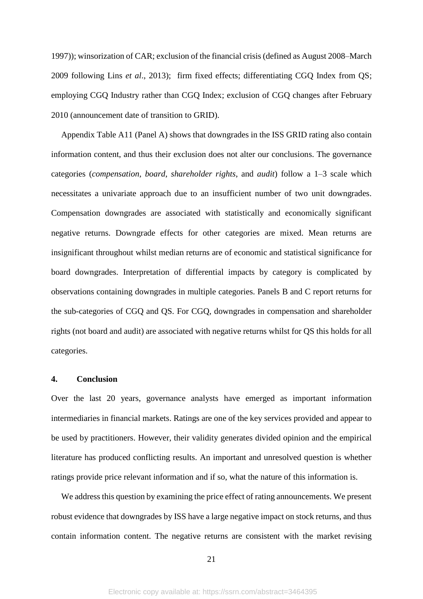1997)); winsorization of CAR; exclusion of the financial crisis (defined as August 2008–March 2009 following Lins *et al*., 2013); firm fixed effects; differentiating CGQ Index from QS; employing CGQ Industry rather than CGQ Index; exclusion of CGQ changes after February 2010 (announcement date of transition to GRID).

Appendix Table A11 (Panel A) shows that downgrades in the ISS GRID rating also contain information content, and thus their exclusion does not alter our conclusions. The governance categories (*compensation*, *board*, *shareholder rights*, and *audit*) follow a 1–3 scale which necessitates a univariate approach due to an insufficient number of two unit downgrades. Compensation downgrades are associated with statistically and economically significant negative returns. Downgrade effects for other categories are mixed. Mean returns are insignificant throughout whilst median returns are of economic and statistical significance for board downgrades. Interpretation of differential impacts by category is complicated by observations containing downgrades in multiple categories. Panels B and C report returns for the sub-categories of CGQ and QS. For CGQ, downgrades in compensation and shareholder rights (not board and audit) are associated with negative returns whilst for QS this holds for all categories.

# **4. Conclusion**

Over the last 20 years, governance analysts have emerged as important information intermediaries in financial markets. Ratings are one of the key services provided and appear to be used by practitioners. However, their validity generates divided opinion and the empirical literature has produced conflicting results. An important and unresolved question is whether ratings provide price relevant information and if so, what the nature of this information is.

We address this question by examining the price effect of rating announcements. We present robust evidence that downgrades by ISS have a large negative impact on stock returns, and thus contain information content. The negative returns are consistent with the market revising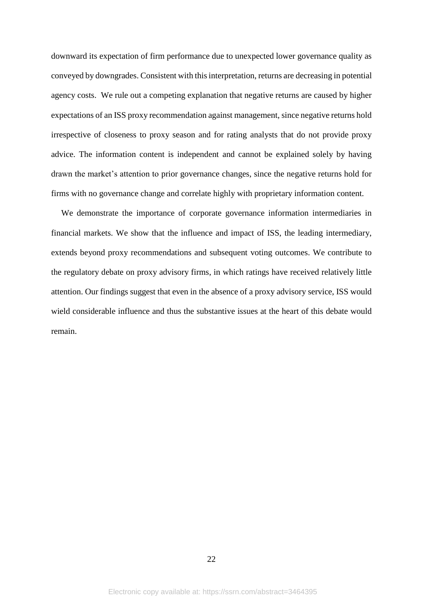downward its expectation of firm performance due to unexpected lower governance quality as conveyed by downgrades. Consistent with this interpretation, returns are decreasing in potential agency costs. We rule out a competing explanation that negative returns are caused by higher expectations of an ISS proxy recommendation against management, since negative returns hold irrespective of closeness to proxy season and for rating analysts that do not provide proxy advice. The information content is independent and cannot be explained solely by having drawn the market's attention to prior governance changes, since the negative returns hold for firms with no governance change and correlate highly with proprietary information content.

We demonstrate the importance of corporate governance information intermediaries in financial markets. We show that the influence and impact of ISS, the leading intermediary, extends beyond proxy recommendations and subsequent voting outcomes. We contribute to the regulatory debate on proxy advisory firms, in which ratings have received relatively little attention. Our findings suggest that even in the absence of a proxy advisory service, ISS would wield considerable influence and thus the substantive issues at the heart of this debate would remain.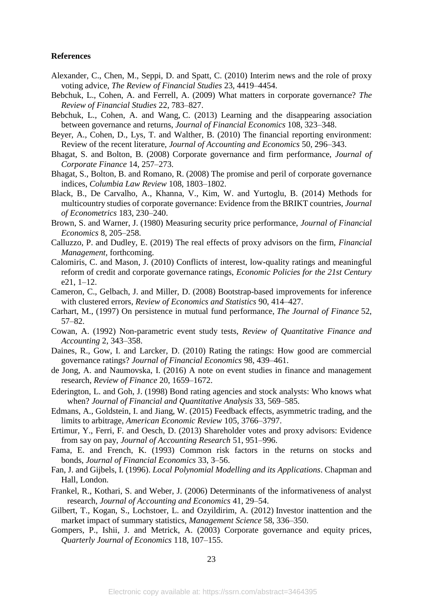#### **References**

- Alexander, C., Chen, M., Seppi, D. and Spatt, C. (2010) Interim news and the role of proxy voting advice, *The Review of Financial Studies* 23, 4419–4454.
- Bebchuk, L., Cohen, A. and Ferrell, A. (2009) What matters in corporate governance? *The Review of Financial Studies* 22, 783–827.
- Bebchuk, L., Cohen, A. and Wang, C. (2013) Learning and the disappearing association between governance and returns, *Journal of Financial Economics* 108, 323–348.
- Beyer, A., Cohen, D., Lys, T. and Walther, B. (2010) The financial reporting environment: Review of the recent literature, *Journal of Accounting and Economics* 50, 296–343.
- Bhagat, S. and Bolton, B. (2008) Corporate governance and firm performance, *Journal of Corporate Finance* 14, 257–273.
- Bhagat, S., Bolton, B. and Romano, R. (2008) The promise and peril of corporate governance indices, *Columbia Law Review* 108, 1803–1802.
- Black, B., De Carvalho, A., Khanna, V., Kim, W. and Yurtoglu, B. (2014) Methods for multicountry studies of corporate governance: Evidence from the BRIKT countries, *Journal of Econometrics* 183, 230–240.
- Brown, S. and Warner, J. (1980) Measuring security price performance, *Journal of Financial Economics* 8, 205–258.
- Calluzzo, P. and Dudley, E. (2019) The real effects of proxy advisors on the firm, *Financial Management,* forthcoming.
- Calomiris, C. and Mason, J. (2010) Conflicts of interest, low-quality ratings and meaningful reform of credit and corporate governance ratings, *Economic Policies for the 21st Century*  e21, 1–12.
- Cameron, C., Gelbach, J. and Miller, D. (2008) Bootstrap-based improvements for inference with clustered errors, *Review of Economics and Statistics* 90, 414–427.
- Carhart, M., (1997) On persistence in mutual fund performance, *The Journal of Finance* 52, 57–82.
- Cowan, A. (1992) Non-parametric event study tests, *Review of Quantitative Finance and Accounting* 2, 343–358.
- Daines, R., Gow, I. and Larcker, D. (2010) Rating the ratings: How good are commercial governance ratings? *Journal of Financial Economics* 98, 439–461.
- de Jong, A. and Naumovska, I. (2016) A note on event studies in finance and management research, *Review of Finance* 20, 1659–1672.
- Ederington, L. and Goh, J. (1998) Bond rating agencies and stock analysts: Who knows what when? *Journal of Financial and Quantitative Analysis* 33, 569–585.
- Edmans, A., Goldstein, I. and Jiang, W. (2015) Feedback effects, asymmetric trading, and the limits to arbitrage, *American Economic Review* 105, 3766–3797.
- Ertimur, Y., Ferri, F. and Oesch, D. (2013) Shareholder votes and proxy advisors: Evidence from say on pay, *Journal of Accounting Research* 51, 951–996.
- Fama, E. and French, K. (1993) Common risk factors in the returns on stocks and bonds, *Journal of Financial Economics* 33, 3–56.
- Fan, J. and Gijbels, I. (1996). *Local Polynomial Modelling and its Applications*. Chapman and Hall, London.
- Frankel, R., Kothari, S. and Weber, J. (2006) Determinants of the informativeness of analyst research, *Journal of Accounting and Economics* 41, 29–54.
- Gilbert, T., Kogan, S., Lochstoer, L. and Ozyildirim, A. (2012) Investor inattention and the market impact of summary statistics, *Management Science* 58, 336–350.
- Gompers, P., Ishii, J. and Metrick, A. (2003) Corporate governance and equity prices, *Quarterly Journal of Economics* 118, 107–155.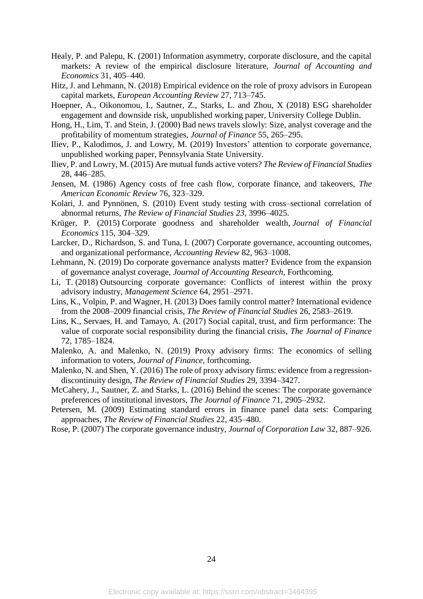- Healy, P. and Palepu, K. (2001) Information asymmetry, corporate disclosure, and the capital markets: A review of the empirical disclosure literature, *Journal of Accounting and Economics* 31, 405–440.
- Hitz, J. and Lehmann, N. (2018) Empirical evidence on the role of proxy advisors in European capital markets, *European Accounting Review* 27, 713–745.
- Hoepner, A., Oikonomou, I., Sautner, Z., Starks, L. and Zhou, X (2018) ESG shareholder engagement and downside risk, unpublished working paper, University College Dublin.
- Hong, H., Lim, T. and Stein, J. (2000) Bad news travels slowly: Size, analyst coverage and the profitability of momentum strategies, *Journal of Finance* 55, 265–295.
- Iliev, P., Kalodimos, J. and Lowry, M. (2019) Investors' attention to corporate governance, unpublished working paper, Pennsylvania State University.
- Iliev, P. and Lowry, M. (2015) Are mutual funds active voters? *The Review of Financial Studies* 28, 446–285.
- Jensen, M. (1986) Agency costs of free cash flow, corporate finance, and takeovers, *The American Economic Review* 76, 323–329.
- Kolari, J. and Pynnönen, S. (2010) Event study testing with cross–sectional correlation of abnormal returns, *The Review of Financial Studies 23*, 3996–4025.
- Krüger, P. (2015) [Corporate goodness and shareholder wealth,](https://econpapers.repec.org/RePEc:eee:jfinec:v:115:y:2015:i:2:p:304-329) *Journal of Financial Economics* 115, 304–329.
- Larcker, D., Richardson, S. and Tuna, I. (2007) Corporate governance, accounting outcomes, and organizational performance, *Accounting Review* 82, 963–1008.
- Lehmann, N. (2019) Do corporate governance analysts matter? Evidence from the expansion of governance analyst coverage, *Journal of Accounting Research*, Forthcoming.
- Li, T. (2018) Outsourcing corporate governance: Conflicts of interest within the proxy advisory industry, *Management Science* 64, 2951–2971.
- Lins, K., Volpin, P. and Wagner, H. (2013) Does family control matter? International evidence from the 2008–2009 financial crisis, *The Review of Financial Studies* 26, 2583–2619.
- Lins, K., Servaes, H. and Tamayo, A. (2017) Social capital, trust, and firm performance: The value of corporate social responsibility during the financial crisis, *The Journal of Finance* 72, 1785–1824.
- Malenko, A. and Malenko, N. (2019) Proxy advisory firms: The economics of selling information to voters, *Journal of Finance*, forthcoming.
- Malenko, N. and Shen, Y. (2016) The role of proxy advisory firms: evidence from a regressiondiscontinuity design, *The Review of Financial Studies* 29, 3394–3427.
- McCahery, J., Sautner, Z. and Starks, L. (2016) Behind the scenes: The corporate governance preferences of institutional investors, *The Journal of Finance* 71, 2905–2932.
- Petersen, M. (2009) Estimating standard errors in finance panel data sets: Comparing approaches, *The Review of Financial Studies* 22, 435–480.
- Rose, P. (2007) The corporate governance industry, *Journal of Corporation Law* 32, 887–926.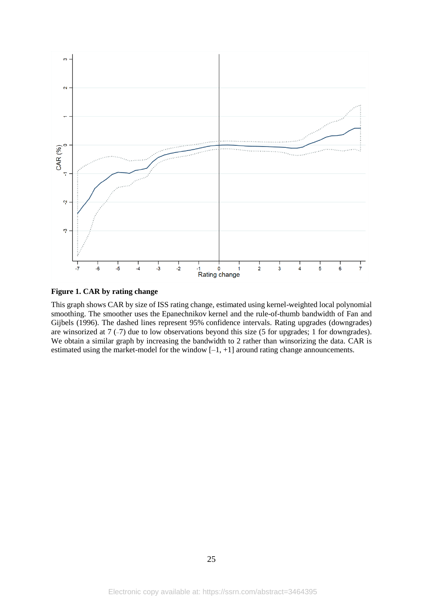

# **Figure 1. CAR by rating change**

This graph shows CAR by size of ISS rating change, estimated using kernel-weighted local polynomial smoothing. The smoother uses the Epanechnikov kernel and the rule-of-thumb bandwidth of [Fan and](https://www.sciencedirect.com/science/article/pii/S0304405X19301084#bib0027)  [Gijbels \(1996\).](https://www.sciencedirect.com/science/article/pii/S0304405X19301084#bib0027) The dashed lines represent 95% [confidence intervals.](https://www.sciencedirect.com/topics/economics-econometrics-and-finance/interval-estimation) Rating upgrades (downgrades) are winsorized at 7 (–7) due to low observations beyond this size (5 for upgrades; 1 for downgrades). We obtain a similar graph by increasing the bandwidth to 2 rather than winsorizing the data. CAR is estimated using the market-model for the window [–1, +1] around rating change announcements.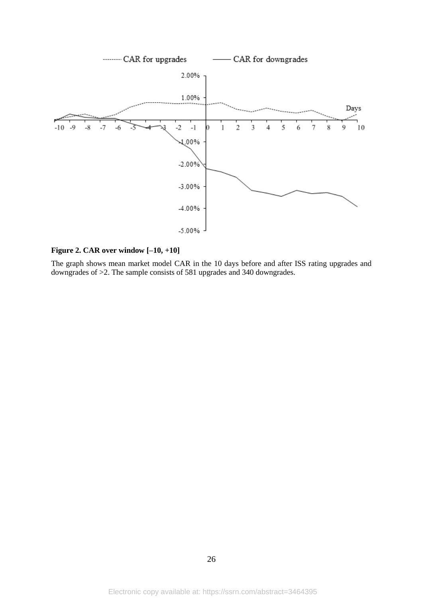

**Figure 2. CAR over window [–10, +10]**

The graph shows mean market model CAR in the 10 days before and after ISS rating upgrades and downgrades of >2. The sample consists of 581 upgrades and 340 downgrades.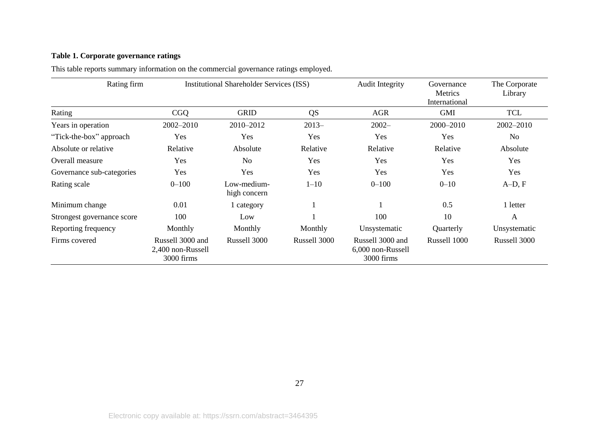# **Table 1. Corporate governance ratings**

| Rating firm                |                                                     | <b>Institutional Shareholder Services (ISS)</b> |              | <b>Audit Integrity</b>                              | Governance<br>Metrics<br>International | The Corporate<br>Library |
|----------------------------|-----------------------------------------------------|-------------------------------------------------|--------------|-----------------------------------------------------|----------------------------------------|--------------------------|
| Rating                     | <b>CGQ</b>                                          | <b>GRID</b>                                     | <b>QS</b>    | <b>AGR</b>                                          | <b>GMI</b>                             | <b>TCL</b>               |
| Years in operation         | 2002-2010                                           | 2010-2012                                       | $2013-$      | $2002 -$                                            | 2000-2010                              | 2002-2010                |
| "Tick-the-box" approach    | Yes                                                 | Yes                                             | Yes          | Yes                                                 | Yes                                    | N <sub>o</sub>           |
| Absolute or relative       | Relative                                            | Absolute                                        | Relative     | Relative                                            | Relative                               | Absolute                 |
| Overall measure            | Yes                                                 | N <sub>o</sub>                                  | Yes          | Yes                                                 | Yes                                    | Yes                      |
| Governance sub-categories  | Yes                                                 | Yes                                             | Yes          | Yes                                                 | Yes                                    | Yes                      |
| Rating scale               | $0 - 100$                                           | Low-medium-<br>high concern                     | $1 - 10$     | $0 - 100$                                           | $0 - 10$                               | $A-D, F$                 |
| Minimum change             | 0.01                                                | 1 category                                      |              |                                                     | 0.5                                    | 1 letter                 |
| Strongest governance score | 100                                                 | Low                                             |              | 100                                                 | 10                                     | A                        |
| Reporting frequency        | Monthly                                             | Monthly                                         | Monthly      | Unsystematic                                        | Quarterly                              | Unsystematic             |
| Firms covered              | Russell 3000 and<br>2,400 non-Russell<br>3000 firms | Russell 3000                                    | Russell 3000 | Russell 3000 and<br>6,000 non-Russell<br>3000 firms | Russell 1000                           | Russell 3000             |

This table reports summary information on the commercial governance ratings employed.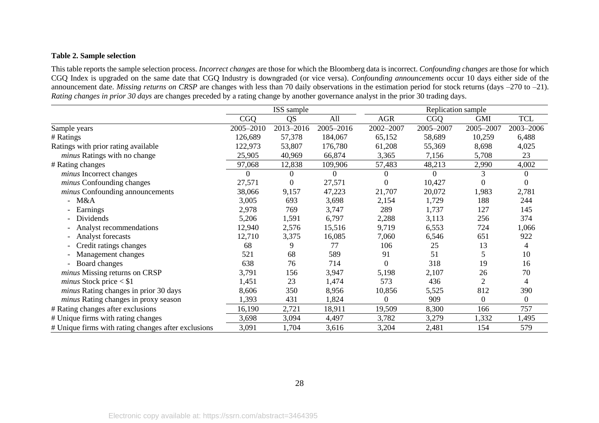# **Table 2. Sample selection**

This table reports the sample selection process. *Incorrect changes* are those for which the Bloomberg data is incorrect. *Confounding changes* are those for which CGQ Index is upgraded on the same date that CGQ Industry is downgraded (or vice versa). *Confounding announcements* occur 10 days either side of the announcement date. *Missing returns on CRSP* are changes with less than 70 daily observations in the estimation period for stock returns (days –270 to –21). *Rating changes in prior 30 days* are changes preceded by a rating change by another governance analyst in the prior 30 trading days.

|                                                     |            | ISS sample       |           |                  | Replication sample |                |              |  |
|-----------------------------------------------------|------------|------------------|-----------|------------------|--------------------|----------------|--------------|--|
|                                                     | <b>CGQ</b> | QS               | All       | <b>AGR</b>       | <b>CGQ</b>         | <b>GMI</b>     | <b>TCL</b>   |  |
| Sample years                                        | 2005-2010  | 2013-2016        | 2005-2016 | 2002-2007        | 2005-2007          | 2005-2007      | 2003-2006    |  |
| # Ratings                                           | 126,689    | 57,378           | 184,067   | 65,152           | 58,689             | 10,259         | 6,488        |  |
| Ratings with prior rating available                 | 122,973    | 53,807           | 176,780   | 61,208           | 55,369             | 8,698          | 4,025        |  |
| minus Ratings with no change                        | 25,905     | 40,969           | 66,874    | 3,365            | 7,156              | 5,708          | 23           |  |
| # Rating changes                                    | 97,068     | 12,838           | 109,906   | 57,483           | 48,213             | 2,990          | 4,002        |  |
| <i>minus</i> Incorrect changes                      |            | $\theta$         | 0         | 0                | 0                  | 3              |              |  |
| minus Confounding changes                           | 27,571     | $\boldsymbol{0}$ | 27,571    | $\boldsymbol{0}$ | 10,427             |                |              |  |
| <i>minus</i> Confounding announcements              | 38,066     | 9,157            | 47,223    | 21,707           | 20,072             | 1,983          | 2,781        |  |
| - $M&A$                                             | 3,005      | 693              | 3,698     | 2,154            | 1,729              | 188            | 244          |  |
| Earnings                                            | 2,978      | 769              | 3,747     | 289              | 1,737              | 127            | 145          |  |
| Dividends                                           | 5,206      | 1,591            | 6,797     | 2,288            | 3,113              | 256            | 374          |  |
| Analyst recommendations                             | 12,940     | 2,576            | 15,516    | 9,719            | 6,553              | 724            | 1,066        |  |
| Analyst forecasts                                   | 12,710     | 3,375            | 16,085    | 7,060            | 6,546              | 651            | 922          |  |
| Credit ratings changes                              | 68         | 9                | 77        | 106              | 25                 | 13             | 4            |  |
| Management changes                                  | 521        | 68               | 589       | 91               | 51                 | 5              | 10           |  |
| Board changes                                       | 638        | 76               | 714       | $\boldsymbol{0}$ | 318                | 19             | 16           |  |
| <i>minus</i> Missing returns on CRSP                | 3,791      | 156              | 3,947     | 5,198            | 2,107              | 26             | 70           |  |
| minus Stock price $<$ \$1                           | 1,451      | 23               | 1,474     | 573              | 436                | $\overline{2}$ | 4            |  |
| minus Rating changes in prior 30 days               | 8,606      | 350              | 8,956     | 10,856           | 5,525              | 812            | 390          |  |
| minus Rating changes in proxy season                | 1,393      | 431              | 1,824     | $\boldsymbol{0}$ | 909                | $\theta$       | $\mathbf{0}$ |  |
| # Rating changes after exclusions                   | 16,190     | 2,721            | 18,911    | 19,509           | 8,300              | 166            | 757          |  |
| # Unique firms with rating changes                  | 3,698      | 3,094            | 4,497     | 3,782            | 3,279              | 1,332          | 1,495        |  |
| # Unique firms with rating changes after exclusions | 3,091      | 1,704            | 3,616     | 3,204            | 2,481              | 154            | 579          |  |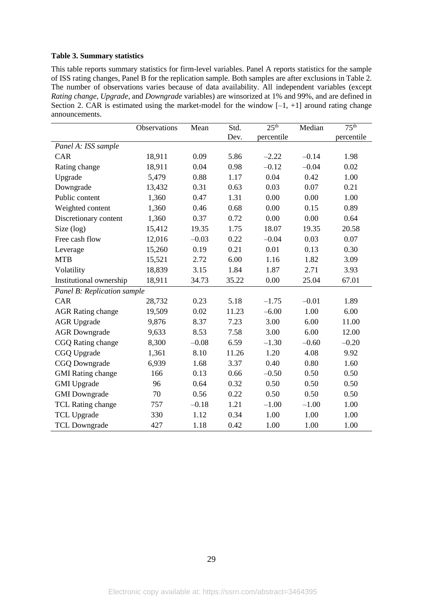#### **Table 3. Summary statistics**

This table reports summary statistics for firm-level variables. Panel A reports statistics for the sample of ISS rating changes, Panel B for the replication sample. Both samples are after exclusions in Table 2. The number of observations varies because of data availability. All independent variables (except *Rating change*, *Upgrade*, and *Downgrade* variables) are winsorized at 1% and 99%, and are defined in Section 2. CAR is estimated using the market-model for the window  $[-1, +1]$  around rating change announcements.

|                             | Observations | Mean    | Std.  | 25 <sup>th</sup> | Median  | 75 <sup>th</sup> |
|-----------------------------|--------------|---------|-------|------------------|---------|------------------|
|                             |              |         | Dev.  | percentile       |         | percentile       |
| Panel A: ISS sample         |              |         |       |                  |         |                  |
| CAR                         | 18,911       | 0.09    | 5.86  | $-2.22$          | $-0.14$ | 1.98             |
| Rating change               | 18,911       | 0.04    | 0.98  | $-0.12$          | $-0.04$ | 0.02             |
| Upgrade                     | 5,479        | 0.88    | 1.17  | 0.04             | 0.42    | 1.00             |
| Downgrade                   | 13,432       | 0.31    | 0.63  | 0.03             | 0.07    | 0.21             |
| Public content              | 1,360        | 0.47    | 1.31  | 0.00             | 0.00    | 1.00             |
| Weighted content            | 1,360        | 0.46    | 0.68  | 0.00             | 0.15    | 0.89             |
| Discretionary content       | 1,360        | 0.37    | 0.72  | 0.00             | 0.00    | 0.64             |
| Size (log)                  | 15,412       | 19.35   | 1.75  | 18.07            | 19.35   | 20.58            |
| Free cash flow              | 12,016       | $-0.03$ | 0.22  | $-0.04$          | 0.03    | 0.07             |
| Leverage                    | 15,260       | 0.19    | 0.21  | 0.01             | 0.13    | 0.30             |
| <b>MTB</b>                  | 15,521       | 2.72    | 6.00  | 1.16             | 1.82    | 3.09             |
| Volatility                  | 18,839       | 3.15    | 1.84  | 1.87             | 2.71    | 3.93             |
| Institutional ownership     | 18,911       | 34.73   | 35.22 | 0.00             | 25.04   | 67.01            |
| Panel B: Replication sample |              |         |       |                  |         |                  |
| CAR                         | 28,732       | 0.23    | 5.18  | $-1.75$          | $-0.01$ | 1.89             |
| <b>AGR Rating change</b>    | 19,509       | 0.02    | 11.23 | $-6.00$          | 1.00    | 6.00             |
| <b>AGR Upgrade</b>          | 9,876        | 8.37    | 7.23  | 3.00             | 6.00    | 11.00            |
| <b>AGR</b> Downgrade        | 9,633        | 8.53    | 7.58  | 3.00             | 6.00    | 12.00            |
| CGQ Rating change           | 8,300        | $-0.08$ | 6.59  | $-1.30$          | $-0.60$ | $-0.20$          |
| CGQ Upgrade                 | 1,361        | 8.10    | 11.26 | 1.20             | 4.08    | 9.92             |
| <b>CGQ Downgrade</b>        | 6,939        | 1.68    | 3.37  | 0.40             | 0.80    | 1.60             |
| <b>GMI</b> Rating change    | 166          | 0.13    | 0.66  | $-0.50$          | 0.50    | 0.50             |
| <b>GMI</b> Upgrade          | 96           | 0.64    | 0.32  | 0.50             | 0.50    | 0.50             |
| <b>GMI</b> Downgrade        | 70           | 0.56    | 0.22  | 0.50             | 0.50    | 0.50             |
| TCL Rating change           | 757          | $-0.18$ | 1.21  | $-1.00$          | $-1.00$ | 1.00             |
| <b>TCL Upgrade</b>          | 330          | 1.12    | 0.34  | 1.00             | 1.00    | 1.00             |
| <b>TCL Downgrade</b>        | 427          | 1.18    | 0.42  | 1.00             | 1.00    | 1.00             |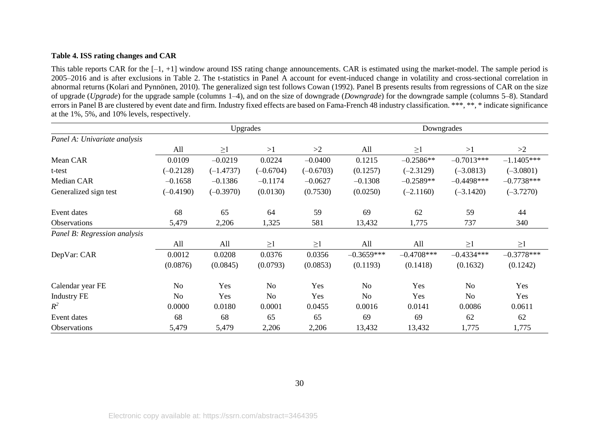# **Table 4. ISS rating changes and CAR**

This table reports CAR for the  $[-1, +1]$  window around ISS rating change announcements. CAR is estimated using the market-model. The sample period is 2005–2016 and is after exclusions in Table 2. The t-statistics in Panel A account for event-induced change in volatility and cross-sectional correlation in abnormal returns (Kolari and Pynnönen, 2010). The generalized sign test follows Cowan (1992). Panel B presents results from regressions of CAR on the size of upgrade (*Upgrade*) for the upgrade sample (columns 1–4), and on the size of downgrade (*Downgrade*) for the downgrade sample (columns 5–8). Standard errors in Panel B are clustered by event date and firm. Industry fixed effects are based on Fama-French 48 industry classification. \*\*\*, \*\*, \* indicate significance at the 1%, 5%, and 10% levels, respectively.

|                              |                | Upgrades    |             |             |                | Downgrades    |                |              |
|------------------------------|----------------|-------------|-------------|-------------|----------------|---------------|----------------|--------------|
| Panel A: Univariate analysis |                |             |             |             |                |               |                |              |
|                              | All            | $\geq$ 1    | >1          | >2          | All            | $\geq$ 1      | >1             | >2           |
| Mean CAR                     | 0.0109         | $-0.0219$   | 0.0224      | $-0.0400$   | 0.1215         | $-0.2586**$   | $-0.7013***$   | $-1.1405***$ |
| t-test                       | $(-0.2128)$    | $(-1.4737)$ | $(-0.6704)$ | $(-0.6703)$ | (0.1257)       | $(-2.3129)$   | $(-3.0813)$    | $(-3.0801)$  |
| Median CAR                   | $-0.1658$      | $-0.1386$   | $-0.1174$   | $-0.0627$   | $-0.1308$      | $-0.2589**$   | $-0.4498$ ***  | $-0.7738***$ |
| Generalized sign test        | $(-0.4190)$    | $(-0.3970)$ | (0.0130)    | (0.7530)    | (0.0250)       | $(-2.1160)$   | $(-3.1420)$    | $(-3.7270)$  |
| Event dates                  | 68             | 65          | 64          | 59          | 69             | 62            | 59             | 44           |
| Observations                 | 5,479          | 2,206       | 1,325       | 581         | 13,432         | 1,775         | 737            | 340          |
| Panel B: Regression analysis |                |             |             |             |                |               |                |              |
|                              | All            | All         | $\geq$ 1    | $\geq$ 1    | All            | All           | $\geq$ 1       | $\geq$ 1     |
| DepVar: CAR                  | 0.0012         | 0.0208      | 0.0376      | 0.0356      | $-0.3659***$   | $-0.4708$ *** | $-0.4334***$   | $-0.3778***$ |
|                              | (0.0876)       | (0.0845)    | (0.0793)    | (0.0853)    | (0.1193)       | (0.1418)      | (0.1632)       | (0.1242)     |
| Calendar year FE             | No             | Yes         | <b>No</b>   | Yes         | No             | Yes           | N <sub>o</sub> | Yes          |
| <b>Industry FE</b>           | N <sub>o</sub> | Yes         | <b>No</b>   | Yes         | N <sub>o</sub> | Yes           | N <sub>o</sub> | Yes          |
| $R^2$                        | 0.0000         | 0.0180      | 0.0001      | 0.0455      | 0.0016         | 0.0141        | 0.0086         | 0.0611       |
| Event dates                  | 68             | 68          | 65          | 65          | 69             | 69            | 62             | 62           |
| Observations                 | 5,479          | 5,479       | 2,206       | 2,206       | 13,432         | 13,432        | 1,775          | 1,775        |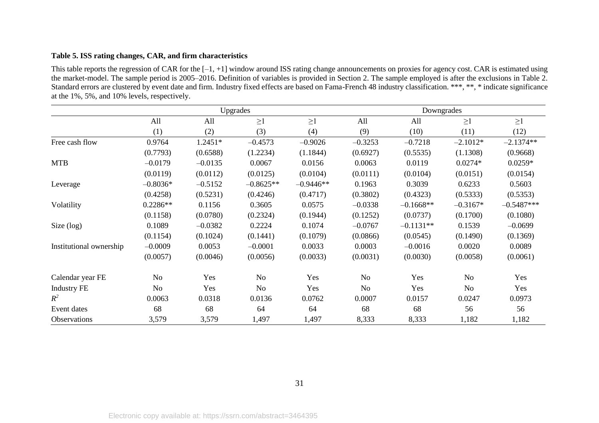# **Table 5. ISS rating changes, CAR, and firm characteristics**

This table reports the regression of CAR for the [–1, +1] window around ISS rating change announcements on proxies for agency cost. CAR is estimated using the market-model. The sample period is 2005–2016. Definition of variables is provided in Section 2. The sample employed is after the exclusions in Table 2. Standard errors are clustered by event date and firm. Industry fixed effects are based on Fama-French 48 industry classification. \*\*\*, \*\*, \* indicate significance at the 1%, 5%, and 10% levels, respectively.

|                         |                |           | Upgrades    |             |                | Downgrades  |                |              |
|-------------------------|----------------|-----------|-------------|-------------|----------------|-------------|----------------|--------------|
|                         | All            | All       | $\geq$ 1    | $\geq$ 1    | All            | All         | $\geq$ 1       | $\geq$ 1     |
|                         | (1)            | (2)       | (3)         | (4)         | (9)            | (10)        | (11)           | (12)         |
| Free cash flow          | 0.9764         | 1.2451*   | $-0.4573$   | $-0.9026$   | $-0.3253$      | $-0.7218$   | $-2.1012*$     | $-2.1374**$  |
|                         | (0.7793)       | (0.6588)  | (1.2234)    | (1.1844)    | (0.6927)       | (0.5535)    | (1.1308)       | (0.9668)     |
| <b>MTB</b>              | $-0.0179$      | $-0.0135$ | 0.0067      | 0.0156      | 0.0063         | 0.0119      | $0.0274*$      | $0.0259*$    |
|                         | (0.0119)       | (0.0112)  | (0.0125)    | (0.0104)    | (0.0111)       | (0.0104)    | (0.0151)       | (0.0154)     |
| Leverage                | $-0.8036*$     | $-0.5152$ | $-0.8625**$ | $-0.9446**$ | 0.1963         | 0.3039      | 0.6233         | 0.5603       |
|                         | (0.4258)       | (0.5231)  | (0.4246)    | (0.4717)    | (0.3802)       | (0.4323)    | (0.5333)       | (0.5353)     |
| Volatility              | $0.2286**$     | 0.1156    | 0.3605      | 0.0575      | $-0.0338$      | $-0.1668**$ | $-0.3167*$     | $-0.5487***$ |
|                         | (0.1158)       | (0.0780)  | (0.2324)    | (0.1944)    | (0.1252)       | (0.0737)    | (0.1700)       | (0.1080)     |
| Size $(log)$            | 0.1089         | $-0.0382$ | 0.2224      | 0.1074      | $-0.0767$      | $-0.1131**$ | 0.1539         | $-0.0699$    |
|                         | (0.1154)       | (0.1024)  | (0.1441)    | (0.1079)    | (0.0866)       | (0.0545)    | (0.1490)       | (0.1369)     |
| Institutional ownership | $-0.0009$      | 0.0053    | $-0.0001$   | 0.0033      | 0.0003         | $-0.0016$   | 0.0020         | 0.0089       |
|                         | (0.0057)       | (0.0046)  | (0.0056)    | (0.0033)    | (0.0031)       | (0.0030)    | (0.0058)       | (0.0061)     |
| Calendar year FE        | No             | Yes       | No          | Yes         | N <sub>o</sub> | Yes         | N <sub>o</sub> | Yes          |
| <b>Industry FE</b>      | N <sub>o</sub> | Yes       | No          | Yes         | No             | Yes         | N <sub>o</sub> | Yes          |
| $R^2$                   | 0.0063         | 0.0318    | 0.0136      | 0.0762      | 0.0007         | 0.0157      | 0.0247         | 0.0973       |
| Event dates             | 68             | 68        | 64          | 64          | 68             | 68          | 56             | 56           |
| Observations            | 3,579          | 3,579     | 1,497       | 1,497       | 8,333          | 8,333       | 1,182          | 1,182        |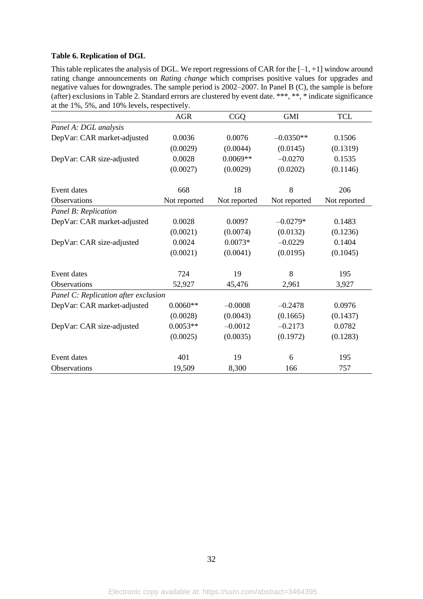#### **Table 6. Replication of DGL**

This table replicates the analysis of DGL. We report regressions of CAR for the  $[-1, +1]$  window around rating change announcements on *Rating change* which comprises positive values for upgrades and negative values for downgrades. The sample period is 2002–2007. In Panel B (C), the sample is before (after) exclusions in Table 2. Standard errors are clustered by event date. \*\*\*, \*\*, \* indicate significance at the 1%, 5%, and 10% levels, respectively.

|                                      | <b>AGR</b>   | <b>CGQ</b>   | <b>GMI</b>   | <b>TCL</b>   |
|--------------------------------------|--------------|--------------|--------------|--------------|
| Panel A: DGL analysis                |              |              |              |              |
| DepVar: CAR market-adjusted          | 0.0036       | 0.0076       | $-0.0350**$  | 0.1506       |
|                                      | (0.0029)     | (0.0044)     | (0.0145)     | (0.1319)     |
| DepVar: CAR size-adjusted            | 0.0028       | $0.0069**$   | $-0.0270$    | 0.1535       |
|                                      | (0.0027)     | (0.0029)     | (0.0202)     | (0.1146)     |
| Event dates                          | 668          | 18           | 8            | 206          |
| Observations                         | Not reported | Not reported | Not reported | Not reported |
| Panel B: Replication                 |              |              |              |              |
| DepVar: CAR market-adjusted          | 0.0028       | 0.0097       | $-0.0279*$   | 0.1483       |
|                                      | (0.0021)     | (0.0074)     | (0.0132)     | (0.1236)     |
| DepVar: CAR size-adjusted            | 0.0024       | $0.0073*$    | $-0.0229$    | 0.1404       |
|                                      | (0.0021)     | (0.0041)     | (0.0195)     | (0.1045)     |
| Event dates                          | 724          | 19           | 8            | 195          |
| Observations                         | 52,927       | 45,476       | 2,961        | 3,927        |
| Panel C: Replication after exclusion |              |              |              |              |
| DepVar: CAR market-adjusted          | $0.0060**$   | $-0.0008$    | $-0.2478$    | 0.0976       |
|                                      | (0.0028)     | (0.0043)     | (0.1665)     | (0.1437)     |
| DepVar: CAR size-adjusted            | $0.0053**$   | $-0.0012$    | $-0.2173$    | 0.0782       |
|                                      | (0.0025)     | (0.0035)     | (0.1972)     | (0.1283)     |
| Event dates                          | 401          | 19           | 6            | 195          |
| Observations                         | 19,509       | 8,300        | 166          | 757          |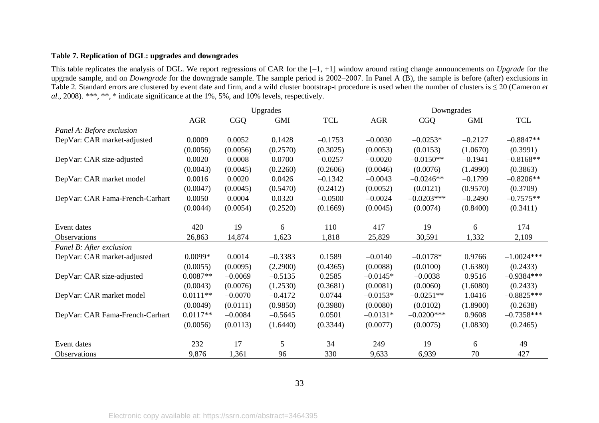# **Table 7. Replication of DGL: upgrades and downgrades**

This table replicates the analysis of DGL. We report regressions of CAR for the [–1, +1] window around rating change announcements on *Upgrade* for the upgrade sample, and on *Downgrade* for the downgrade sample. The sample period is 2002–2007. In Panel A (B), the sample is before (after) exclusions in Table 2. Standard errors are clustered by event date and firm, and a wild cluster bootstrap-t procedure is used when the number of clusters is ≤ 20 (Cameron *et al*., 2008). \*\*\*, \*\*, \* indicate significance at the 1%, 5%, and 10% levels, respectively.

|                                 |            |           | Upgrades   |            | Downgrades |              |            |              |
|---------------------------------|------------|-----------|------------|------------|------------|--------------|------------|--------------|
|                                 | <b>AGR</b> | CGQ       | <b>GMI</b> | <b>TCL</b> | <b>AGR</b> | <b>CGQ</b>   | <b>GMI</b> | <b>TCL</b>   |
| Panel A: Before exclusion       |            |           |            |            |            |              |            |              |
| DepVar: CAR market-adjusted     | 0.0009     | 0.0052    | 0.1428     | $-0.1753$  | $-0.0030$  | $-0.0253*$   | $-0.2127$  | $-0.8847**$  |
|                                 | (0.0056)   | (0.0056)  | (0.2570)   | (0.3025)   | (0.0053)   | (0.0153)     | (1.0670)   | (0.3991)     |
| DepVar: CAR size-adjusted       | 0.0020     | 0.0008    | 0.0700     | $-0.0257$  | $-0.0020$  | $-0.0150**$  | $-0.1941$  | $-0.8168**$  |
|                                 | (0.0043)   | (0.0045)  | (0.2260)   | (0.2606)   | (0.0046)   | (0.0076)     | (1.4990)   | (0.3863)     |
| DepVar: CAR market model        | 0.0016     | 0.0020    | 0.0426     | $-0.1342$  | $-0.0043$  | $-0.0246**$  | $-0.1799$  | $-0.8206**$  |
|                                 | (0.0047)   | (0.0045)  | (0.5470)   | (0.2412)   | (0.0052)   | (0.0121)     | (0.9570)   | (0.3709)     |
| DepVar: CAR Fama-French-Carhart | 0.0050     | 0.0004    | 0.0320     | $-0.0500$  | $-0.0024$  | $-0.0203***$ | $-0.2490$  | $-0.7575**$  |
|                                 | (0.0044)   | (0.0054)  | (0.2520)   | (0.1669)   | (0.0045)   | (0.0074)     | (0.8400)   | (0.3411)     |
|                                 |            |           |            |            |            |              |            |              |
| Event dates                     | 420        | 19        | 6          | 110        | 417        | 19           | 6          | 174          |
| <b>Observations</b>             | 26,863     | 14,874    | 1,623      | 1,818      | 25,829     | 30,591       | 1,332      | 2,109        |
| Panel B: After exclusion        |            |           |            |            |            |              |            |              |
| DepVar: CAR market-adjusted     | $0.0099*$  | 0.0014    | $-0.3383$  | 0.1589     | $-0.0140$  | $-0.0178*$   | 0.9766     | $-1.0024***$ |
|                                 | (0.0055)   | (0.0095)  | (2.2900)   | (0.4365)   | (0.0088)   | (0.0100)     | (1.6380)   | (0.2433)     |
| DepVar: CAR size-adjusted       | $0.0087**$ | $-0.0069$ | $-0.5135$  | 0.2585     | $-0.0145*$ | $-0.0038$    | 0.9516     | $-0.9384***$ |
|                                 | (0.0043)   | (0.0076)  | (1.2530)   | (0.3681)   | (0.0081)   | (0.0060)     | (1.6080)   | (0.2433)     |
| DepVar: CAR market model        | $0.0111**$ | $-0.0070$ | $-0.4172$  | 0.0744     | $-0.0153*$ | $-0.0251**$  | 1.0416     | $-0.8825***$ |
|                                 | (0.0049)   | (0.0111)  | (0.9850)   | (0.3980)   | (0.0080)   | (0.0102)     | (1.8900)   | (0.2638)     |
| DepVar: CAR Fama-French-Carhart | $0.0117**$ | $-0.0084$ | $-0.5645$  | 0.0501     | $-0.0131*$ | $-0.0200***$ | 0.9608     | $-0.7358***$ |
|                                 | (0.0056)   | (0.0113)  | (1.6440)   | (0.3344)   | (0.0077)   | (0.0075)     | (1.0830)   | (0.2465)     |
|                                 |            |           |            |            |            |              |            |              |
| Event dates                     | 232        | 17        | 5          | 34         | 249        | 19           | 6          | 49           |
| Observations                    | 9,876      | 1,361     | 96         | 330        | 9,633      | 6,939        | 70         | 427          |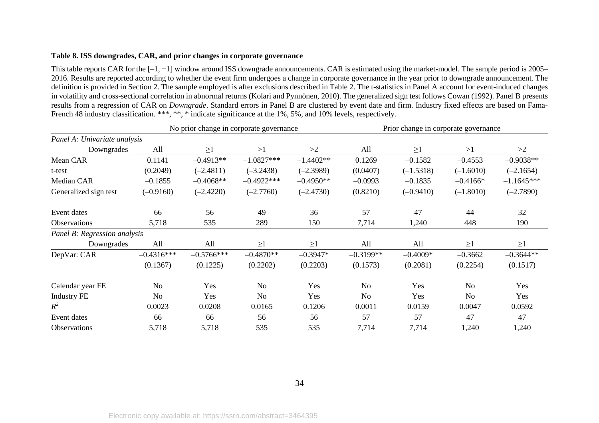#### **Table 8. ISS downgrades, CAR, and prior changes in corporate governance**

This table reports CAR for the  $[-1, +1]$  window around ISS downgrade announcements. CAR is estimated using the market-model. The sample period is 2005– 2016. Results are reported according to whether the event firm undergoes a change in corporate governance in the year prior to downgrade announcement. The definition is provided in Section 2. The sample employed is after exclusions described in Table 2. The t-statistics in Panel A account for event-induced changes in volatility and cross-sectional correlation in abnormal returns (Kolari and Pynnönen, 2010). The generalized sign test follows Cowan (1992). Panel B presents results from a regression of CAR on *Downgrade*. Standard errors in Panel B are clustered by event date and firm. Industry fixed effects are based on Fama-French 48 industry classification. \*\*\*, \*\*, \* indicate significance at the 1%, 5%, and 10% levels, respectively.

|                              |                |              | No prior change in corporate governance |             |             | Prior change in corporate governance |                |              |
|------------------------------|----------------|--------------|-----------------------------------------|-------------|-------------|--------------------------------------|----------------|--------------|
| Panel A: Univariate analysis |                |              |                                         |             |             |                                      |                |              |
| Downgrades                   | All            | $\geq$ 1     | >1                                      | >2          | All         | $\geq$ 1                             | >1             | >2           |
| Mean CAR                     | 0.1141         | $-0.4913**$  | $-1.0827***$                            | $-1.4402**$ | 0.1269      | $-0.1582$                            | $-0.4553$      | $-0.9038**$  |
| t-test                       | (0.2049)       | $(-2.4811)$  | $(-3.2438)$                             | $(-2.3989)$ | (0.0407)    | $(-1.5318)$                          | $(-1.6010)$    | $(-2.1654)$  |
| Median CAR                   | $-0.1855$      | $-0.4068**$  | $-0.4922***$                            | $-0.4950**$ | $-0.0993$   | $-0.1835$                            | $-0.4166*$     | $-1.1645***$ |
| Generalized sign test        | $(-0.9160)$    | $(-2.4220)$  | $(-2.7760)$                             | $(-2.4730)$ | (0.8210)    | $(-0.9410)$                          | $(-1.8010)$    | $(-2.7890)$  |
| Event dates                  | 66             | 56           | 49                                      | 36          | 57          | 47                                   | 44             | 32           |
| Observations                 | 5,718          | 535          | 289                                     | 150         | 7,714       | 1,240                                | 448            | 190          |
| Panel B: Regression analysis |                |              |                                         |             |             |                                      |                |              |
| Downgrades                   | All            | All          | $\geq$ 1                                | $\geq$ 1    | All         | All                                  | $\geq$ 1       | $\geq$ 1     |
| DepVar: CAR                  | $-0.4316***$   | $-0.5766***$ | $-0.4870**$                             | $-0.3947*$  | $-0.3199**$ | $-0.4009*$                           | $-0.3662$      | $-0.3644**$  |
|                              | (0.1367)       | (0.1225)     | (0.2202)                                | (0.2203)    | (0.1573)    | (0.2081)                             | (0.2254)       | (0.1517)     |
| Calendar year FE             | N <sub>o</sub> | Yes          | N <sub>o</sub>                          | Yes         | No          | Yes                                  | N <sub>o</sub> | Yes          |
| <b>Industry FE</b>           | N <sub>o</sub> | Yes          | N <sub>o</sub>                          | Yes         | No          | Yes                                  | No             | Yes          |
| $R^2$                        | 0.0023         | 0.0208       | 0.0165                                  | 0.1206      | 0.0011      | 0.0159                               | 0.0047         | 0.0592       |
| Event dates                  | 66             | 66           | 56                                      | 56          | 57          | 57                                   | 47             | 47           |
| Observations                 | 5,718          | 5,718        | 535                                     | 535         | 7,714       | 7,714                                | 1,240          | 1,240        |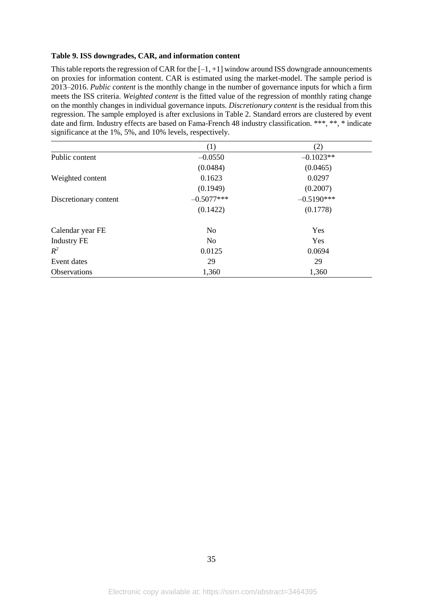#### **Table 9. ISS downgrades, CAR, and information content**

This table reports the regression of CAR for the  $[-1, +1]$  window around ISS downgrade announcements on proxies for information content. CAR is estimated using the market-model. The sample period is 2013–2016. *Public content* is the monthly change in the number of governance inputs for which a firm meets the ISS criteria. *Weighted content* is the fitted value of the regression of monthly rating change on the monthly changes in individual governance inputs. *Discretionary content* is the residual from this regression. The sample employed is after exclusions in Table 2. Standard errors are clustered by event date and firm. Industry effects are based on Fama-French 48 industry classification. \*\*\*, \*\*, \* indicate significance at the 1%, 5%, and 10% levels, respectively.

|                       | (1)            | (2)          |
|-----------------------|----------------|--------------|
| Public content        | $-0.0550$      | $-0.1023**$  |
|                       | (0.0484)       | (0.0465)     |
| Weighted content      | 0.1623         | 0.0297       |
|                       | (0.1949)       | (0.2007)     |
| Discretionary content | $-0.5077***$   | $-0.5190***$ |
|                       | (0.1422)       | (0.1778)     |
| Calendar year FE      | N <sub>o</sub> | Yes          |
| <b>Industry FE</b>    | N <sub>o</sub> | Yes          |
| $R^2$                 | 0.0125         | 0.0694       |
| Event dates           | 29             | 29           |
| <b>Observations</b>   | 1,360          | 1,360        |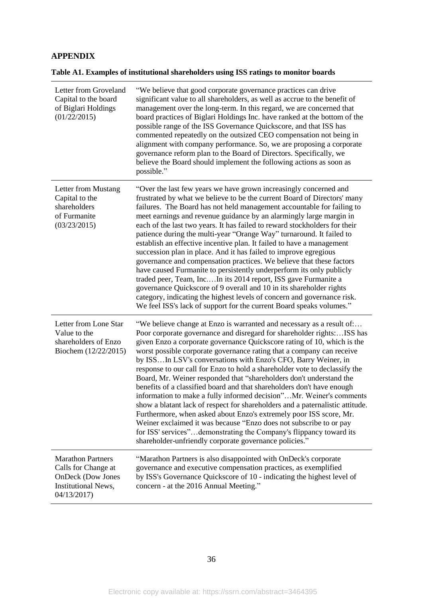# **APPENDIX**

| Table A1. Examples of institutional shareholders using ISS ratings to monitor boards |  |
|--------------------------------------------------------------------------------------|--|
|                                                                                      |  |

| Letter from Groveland<br>Capital to the board<br>of Biglari Holdings<br>(01/22/2015)                             | "We believe that good corporate governance practices can drive<br>significant value to all shareholders, as well as accrue to the benefit of<br>management over the long-term. In this regard, we are concerned that<br>board practices of Biglari Holdings Inc. have ranked at the bottom of the<br>possible range of the ISS Governance Quickscore, and that ISS has<br>commented repeatedly on the outsized CEO compensation not being in<br>alignment with company performance. So, we are proposing a corporate<br>governance reform plan to the Board of Directors. Specifically, we<br>believe the Board should implement the following actions as soon as<br>possible."                                                                                                                                                                                                                                                                                                                                                               |
|------------------------------------------------------------------------------------------------------------------|-----------------------------------------------------------------------------------------------------------------------------------------------------------------------------------------------------------------------------------------------------------------------------------------------------------------------------------------------------------------------------------------------------------------------------------------------------------------------------------------------------------------------------------------------------------------------------------------------------------------------------------------------------------------------------------------------------------------------------------------------------------------------------------------------------------------------------------------------------------------------------------------------------------------------------------------------------------------------------------------------------------------------------------------------|
| Letter from Mustang<br>Capital to the<br>shareholders<br>of Furmanite<br>(03/23/2015)                            | "Over the last few years we have grown increasingly concerned and<br>frustrated by what we believe to be the current Board of Directors' many<br>failures. The Board has not held management accountable for failing to<br>meet earnings and revenue guidance by an alarmingly large margin in<br>each of the last two years. It has failed to reward stockholders for their<br>patience during the multi-year "Orange Way" turnaround. It failed to<br>establish an effective incentive plan. It failed to have a management<br>succession plan in place. And it has failed to improve egregious<br>governance and compensation practices. We believe that these factors<br>have caused Furmanite to persistently underperform its only publicly<br>traded peer, Team, IncIn its 2014 report, ISS gave Furmanite a<br>governance Quickscore of 9 overall and 10 in its shareholder rights<br>category, indicating the highest levels of concern and governance risk.<br>We feel ISS's lack of support for the current Board speaks volumes." |
| Letter from Lone Star<br>Value to the<br>shareholders of Enzo<br>Biochem (12/22/2015)                            | "We believe change at Enzo is warranted and necessary as a result of:<br>Poor corporate governance and disregard for shareholder rights:ISS has<br>given Enzo a corporate governance Quickscore rating of 10, which is the<br>worst possible corporate governance rating that a company can receive<br>by ISSIn LSV's conversations with Enzo's CFO, Barry Weiner, in<br>response to our call for Enzo to hold a shareholder vote to declassify the<br>Board, Mr. Weiner responded that "shareholders don't understand the<br>benefits of a classified board and that shareholders don't have enough<br>information to make a fully informed decision"Mr. Weiner's comments<br>show a blatant lack of respect for shareholders and a paternalistic attitude.<br>Furthermore, when asked about Enzo's extremely poor ISS score, Mr.<br>Weiner exclaimed it was because "Enzo does not subscribe to or pay<br>for ISS' services"demonstrating the Company's flippancy toward its<br>shareholder-unfriendly corporate governance policies."      |
| <b>Marathon Partners</b><br>Calls for Change at<br><b>OnDeck</b> (Dow Jones<br>Institutional News,<br>04/13/2017 | "Marathon Partners is also disappointed with OnDeck's corporate<br>governance and executive compensation practices, as exemplified<br>by ISS's Governance Quickscore of 10 - indicating the highest level of<br>concern - at the 2016 Annual Meeting."                                                                                                                                                                                                                                                                                                                                                                                                                                                                                                                                                                                                                                                                                                                                                                                        |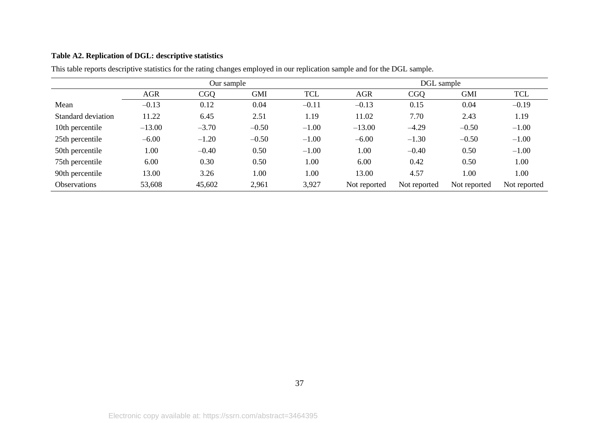# **Table A2. Replication of DGL: descriptive statistics**

|                     |            | Our sample |            |            | DGL sample   |              |              |              |
|---------------------|------------|------------|------------|------------|--------------|--------------|--------------|--------------|
|                     | <b>AGR</b> | <b>CGQ</b> | <b>GMI</b> | <b>TCL</b> | <b>AGR</b>   | <b>CGO</b>   | <b>GMI</b>   | TCL          |
| Mean                | $-0.13$    | 0.12       | 0.04       | $-0.11$    | $-0.13$      | 0.15         | 0.04         | $-0.19$      |
| Standard deviation  | 11.22      | 6.45       | 2.51       | 1.19       | 11.02        | 7.70         | 2.43         | 1.19         |
| 10th percentile     | $-13.00$   | $-3.70$    | $-0.50$    | $-1.00$    | $-13.00$     | $-4.29$      | $-0.50$      | $-1.00$      |
| 25th percentile     | $-6.00$    | $-1.20$    | $-0.50$    | $-1.00$    | $-6.00$      | $-1.30$      | $-0.50$      | $-1.00$      |
| 50th percentile     | 1.00       | $-0.40$    | 0.50       | $-1.00$    | 1.00         | $-0.40$      | 0.50         | $-1.00$      |
| 75th percentile     | 6.00       | 0.30       | 0.50       | 1.00       | 6.00         | 0.42         | 0.50         | 1.00         |
| 90th percentile     | 13.00      | 3.26       | 1.00       | 1.00       | 13.00        | 4.57         | 1.00         | 1.00         |
| <b>Observations</b> | 53,608     | 45,602     | 2,961      | 3,927      | Not reported | Not reported | Not reported | Not reported |

This table reports descriptive statistics for the rating changes employed in our replication sample and for the DGL sample.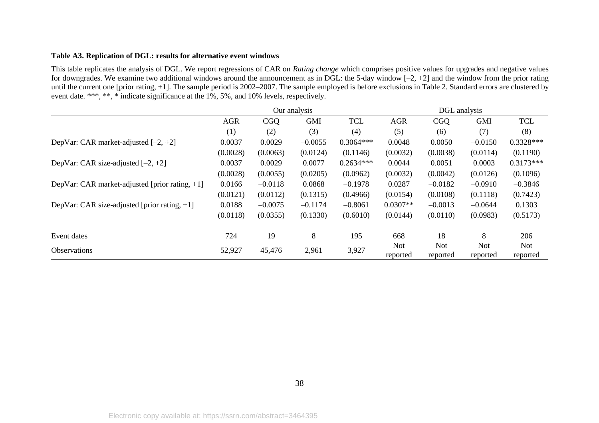# **Table A3. Replication of DGL: results for alternative event windows**

This table replicates the analysis of DGL. We report regressions of CAR on *Rating change* which comprises positive values for upgrades and negative values for downgrades. We examine two additional windows around the announcement as in DGL: the 5-day window  $[-2, +2]$  and the window from the prior rating until the current one [prior rating, +1]. The sample period is 2002–2007. The sample employed is before exclusions in Table 2. Standard errors are clustered by event date. \*\*\*, \*\*, \* indicate significance at the 1%, 5%, and 10% levels, respectively.

|                                                 | Our analysis |            |            |             | DGL analysis           |                        |                        |                        |
|-------------------------------------------------|--------------|------------|------------|-------------|------------------------|------------------------|------------------------|------------------------|
|                                                 | <b>AGR</b>   | <b>CGQ</b> | <b>GMI</b> | <b>TCL</b>  | <b>AGR</b>             | <b>CGO</b>             | <b>GMI</b>             | <b>TCL</b>             |
|                                                 | (1)          | (2)        | (3)        | (4)         | (5)                    | (6)                    | (7)                    | (8)                    |
| DepVar: CAR market-adjusted $[-2, +2]$          | 0.0037       | 0.0029     | $-0.0055$  | $0.3064***$ | 0.0048                 | 0.0050                 | $-0.0150$              | $0.3328***$            |
|                                                 | (0.0028)     | (0.0063)   | (0.0124)   | (0.1146)    | (0.0032)               | (0.0038)               | (0.0114)               | (0.1190)               |
| DepVar: CAR size-adjusted $[-2, +2]$            | 0.0037       | 0.0029     | 0.0077     | $0.2634***$ | 0.0044                 | 0.0051                 | 0.0003                 | $0.3173***$            |
|                                                 | (0.0028)     | (0.0055)   | (0.0205)   | (0.0962)    | (0.0032)               | (0.0042)               | (0.0126)               | (0.1096)               |
| DepVar: CAR market-adjusted [prior rating, +1]  | 0.0166       | $-0.0118$  | 0.0868     | $-0.1978$   | 0.0287                 | $-0.0182$              | $-0.0910$              | $-0.3846$              |
|                                                 | (0.0121)     | (0.0112)   | (0.1315)   | (0.4966)    | (0.0154)               | (0.0108)               | (0.1118)               | (0.7423)               |
| DepVar: CAR size-adjusted [prior rating, $+1$ ] | 0.0188       | $-0.0075$  | $-0.1174$  | $-0.8061$   | $0.0307**$             | $-0.0013$              | $-0.0644$              | 0.1303                 |
|                                                 | (0.0118)     | (0.0355)   | (0.1330)   | (0.6010)    | (0.0144)               | (0.0110)               | (0.0983)               | (0.5173)               |
| Event dates                                     | 724          | 19         | 8          | 195         | 668                    | 18                     | 8                      | 206                    |
| <b>Observations</b>                             | 52,927       | 45,476     | 2,961      | 3,927       | <b>Not</b><br>reported | <b>Not</b><br>reported | <b>Not</b><br>reported | <b>Not</b><br>reported |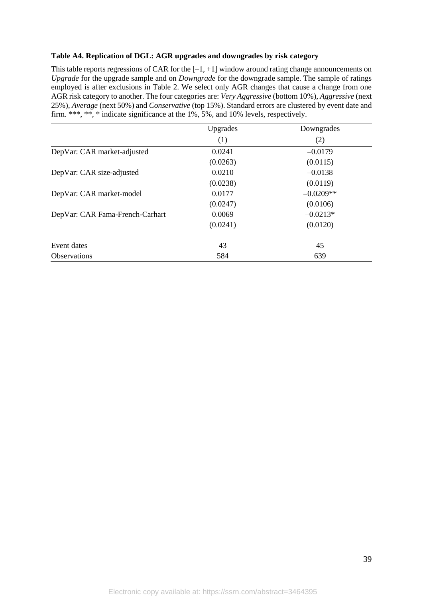# **Table A4. Replication of DGL: AGR upgrades and downgrades by risk category**

This table reports regressions of CAR for the  $[-1, +1]$  window around rating change announcements on *Upgrade* for the upgrade sample and on *Downgrade* for the downgrade sample. The sample of ratings employed is after exclusions in Table 2. We select only AGR changes that cause a change from one AGR risk category to another. The four categories are: *Very Aggressive* (bottom 10%), *Aggressive* (next 25%), *Average* (next 50%) and *Conservative* (top 15%). Standard errors are clustered by event date and firm. \*\*\*, \*\*, \* indicate significance at the 1%, 5%, and 10% levels, respectively.

|                                 | Upgrades | Downgrades  |
|---------------------------------|----------|-------------|
|                                 | (1)      | (2)         |
| DepVar: CAR market-adjusted     | 0.0241   | $-0.0179$   |
|                                 | (0.0263) | (0.0115)    |
| DepVar: CAR size-adjusted       | 0.0210   | $-0.0138$   |
|                                 | (0.0238) | (0.0119)    |
| DepVar: CAR market-model        | 0.0177   | $-0.0209**$ |
|                                 | (0.0247) | (0.0106)    |
| DepVar: CAR Fama-French-Carhart | 0.0069   | $-0.0213*$  |
|                                 | (0.0241) | (0.0120)    |
| Event dates                     | 43       | 45          |
| <b>Observations</b>             | 584      | 639         |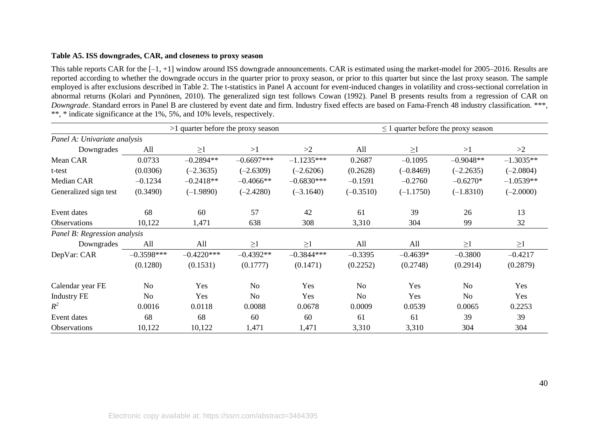#### **Table A5. ISS downgrades, CAR, and closeness to proxy season**

This table reports CAR for the [–1, +1] window around ISS downgrade announcements. CAR is estimated using the market-model for 2005–2016. Results are reported according to whether the downgrade occurs in the quarter prior to proxy season, or prior to this quarter but since the last proxy season. The sample employed is after exclusions described in Table 2. The t-statistics in Panel A account for event-induced changes in volatility and cross-sectional correlation in abnormal returns (Kolari and Pynnönen, 2010). The generalized sign test follows Cowan (1992). Panel B presents results from a regression of CAR on *Downgrade*. Standard errors in Panel B are clustered by event date and firm. Industry fixed effects are based on Fama-French 48 industry classification. \*\*\*, \*\*, \* indicate significance at the 1%, 5%, and 10% levels, respectively.

| >1 quarter before the proxy season |                |              |                |              |                | $\leq$ 1 quarter before the proxy season |                |             |
|------------------------------------|----------------|--------------|----------------|--------------|----------------|------------------------------------------|----------------|-------------|
| Panel A: Univariate analysis       |                |              |                |              |                |                                          |                |             |
| Downgrades                         | All            | $\geq$ 1     | >1             | >2           | All            | $\geq$ 1                                 | >1             | >2          |
| Mean CAR                           | 0.0733         | $-0.2894**$  | $-0.6697***$   | $-1.1235***$ | 0.2687         | $-0.1095$                                | $-0.9048**$    | $-1.3035**$ |
| t-test                             | (0.0306)       | $(-2.3635)$  | $(-2.6309)$    | $(-2.6206)$  | (0.2628)       | $(-0.8469)$                              | $(-2.2635)$    | $(-2.0804)$ |
| Median CAR                         | $-0.1234$      | $-0.2418**$  | $-0.4066**$    | $-0.6830***$ | $-0.1591$      | $-0.2760$                                | $-0.6270*$     | $-1.0539**$ |
| Generalized sign test              | (0.3490)       | $(-1.9890)$  | $(-2.4280)$    | $(-3.1640)$  | $(-0.3510)$    | $(-1.1750)$                              | $(-1.8310)$    | $(-2.0000)$ |
| Event dates                        | 68             | 60           | 57             | 42           | 61             | 39                                       | 26             | 13          |
| Observations                       | 10,122         | 1,471        | 638            | 308          | 3,310          | 304                                      | 99             | 32          |
| Panel B: Regression analysis       |                |              |                |              |                |                                          |                |             |
| Downgrades                         | All            | All          | $\geq$ 1       | $\geq$ 1     | All            | All                                      | $\geq$ 1       | $\geq$ 1    |
| DepVar: CAR                        | $-0.3598***$   | $-0.4220***$ | $-0.4392**$    | $-0.3844***$ | $-0.3395$      | $-0.4639*$                               | $-0.3800$      | $-0.4217$   |
|                                    | (0.1280)       | (0.1531)     | (0.1777)       | (0.1471)     | (0.2252)       | (0.2748)                                 | (0.2914)       | (0.2879)    |
| Calendar year FE                   | N <sub>o</sub> | Yes          | N <sub>o</sub> | Yes          | N <sub>o</sub> | Yes                                      | N <sub>o</sub> | Yes         |
| <b>Industry FE</b>                 | No             | Yes          | No             | Yes          | <b>No</b>      | Yes                                      | N <sub>o</sub> | Yes         |
| $R^2$                              | 0.0016         | 0.0118       | 0.0088         | 0.0678       | 0.0009         | 0.0539                                   | 0.0065         | 0.2253      |
| Event dates                        | 68             | 68           | 60             | 60           | 61             | 61                                       | 39             | 39          |
| Observations                       | 10,122         | 10,122       | 1,471          | 1,471        | 3,310          | 3,310                                    | 304            | 304         |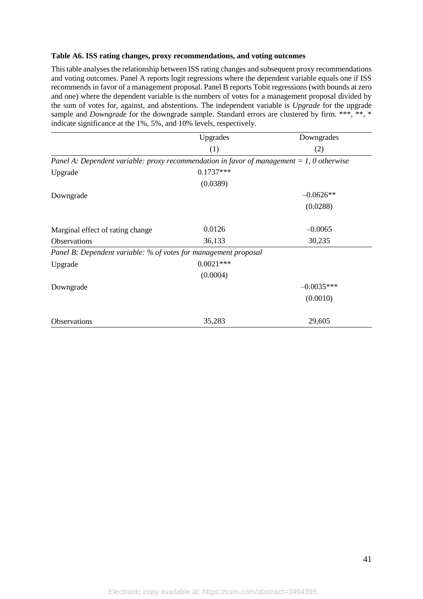#### **Table A6. ISS rating changes, proxy recommendations, and voting outcomes**

This table analyses the relationship between ISS rating changes and subsequent proxy recommendations and voting outcomes. Panel A reports logit regressions where the dependent variable equals one if ISS recommends in favor of a management proposal. Panel B reports Tobit regressions (with bounds at zero and one) where the dependent variable is the numbers of votes for a management proposal divided by the sum of votes for, against, and abstentions. The independent variable is *Upgrade* for the upgrade sample and *Downgrade* for the downgrade sample. Standard errors are clustered by firm. \*\*\*, \*\*, \* indicate significance at the 1%, 5%, and 10% levels, respectively.

|                                                                                           | Upgrades    | Downgrades   |
|-------------------------------------------------------------------------------------------|-------------|--------------|
|                                                                                           | (1)         | (2)          |
| Panel A: Dependent variable: proxy recommendation in favor of management = 1, 0 otherwise |             |              |
| Upgrade                                                                                   | $0.1737***$ |              |
|                                                                                           | (0.0389)    |              |
| Downgrade                                                                                 |             | $-0.0626**$  |
|                                                                                           |             | (0.0288)     |
| Marginal effect of rating change                                                          | 0.0126      | $-0.0065$    |
| <b>Observations</b>                                                                       | 36,133      | 30,235       |
| Panel B: Dependent variable: % of votes for management proposal                           |             |              |
| Upgrade                                                                                   | $0.0021***$ |              |
|                                                                                           | (0.0004)    |              |
| Downgrade                                                                                 |             | $-0.0035***$ |
|                                                                                           |             | (0.0010)     |
| Observations                                                                              | 35,283      | 29,605       |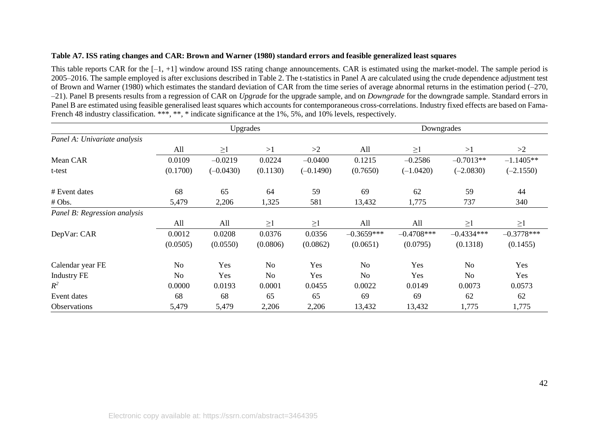# **Table A7. ISS rating changes and CAR: Brown and Warner (1980) standard errors and feasible generalized least squares**

This table reports CAR for the  $[-1, +1]$  window around ISS rating change announcements. CAR is estimated using the market-model. The sample period is 2005–2016. The sample employed is after exclusions described in Table 2. The t-statistics in Panel A are calculated using the crude dependence adjustment test of Brown and Warner (1980) which estimates the standard deviation of CAR from the time series of average abnormal returns in the estimation period (–270, –21). Panel B presents results from a regression of CAR on *Upgrade* for the upgrade sample, and on *Downgrade* for the downgrade sample. Standard errors in Panel B are estimated using feasible generalised least squares which accounts for contemporaneous cross-correlations. Industry fixed effects are based on Fama-French 48 industry classification. \*\*\*, \*\*, \* indicate significance at the 1%, 5%, and 10% levels, respectively.

|                              |                | Upgrades    |                |             |              | Downgrades    |                |              |
|------------------------------|----------------|-------------|----------------|-------------|--------------|---------------|----------------|--------------|
| Panel A: Univariate analysis |                |             |                |             |              |               |                |              |
|                              | All            | $\geq$ 1    | >1             | >2          | All          | $\geq$ 1      | >1             | >2           |
| Mean CAR                     | 0.0109         | $-0.0219$   | 0.0224         | $-0.0400$   | 0.1215       | $-0.2586$     | $-0.7013**$    | $-1.1405**$  |
| t-test                       | (0.1700)       | $(-0.0430)$ | (0.1130)       | $(-0.1490)$ | (0.7650)     | $(-1.0420)$   | $(-2.0830)$    | $(-2.1550)$  |
| # Event dates                | 68             | 65          | 64             | 59          | 69           | 62            | 59             | 44           |
| # Obs.                       | 5,479          | 2,206       | 1,325          | 581         | 13,432       | 1,775         | 737            | 340          |
| Panel B: Regression analysis |                |             |                |             |              |               |                |              |
|                              | All            | All         | $\geq$ 1       | $\geq$ 1    | All          | All           | $\geq$ 1       | $\geq$ 1     |
| DepVar: CAR                  | 0.0012         | 0.0208      | 0.0376         | 0.0356      | $-0.3659***$ | $-0.4708$ *** | $-0.4334***$   | $-0.3778***$ |
|                              | (0.0505)       | (0.0550)    | (0.0806)       | (0.0862)    | (0.0651)     | (0.0795)      | (0.1318)       | (0.1455)     |
| Calendar year FE             | N <sub>o</sub> | Yes         | N <sub>o</sub> | Yes         | No           | Yes           | N <sub>o</sub> | Yes          |
| <b>Industry FE</b>           | N <sub>o</sub> | Yes         | No             | Yes         | No           | Yes           | N <sub>o</sub> | Yes          |
| $R^2$                        | 0.0000         | 0.0193      | 0.0001         | 0.0455      | 0.0022       | 0.0149        | 0.0073         | 0.0573       |
| Event dates                  | 68             | 68          | 65             | 65          | 69           | 69            | 62             | 62           |
| Observations                 | 5,479          | 5,479       | 2,206          | 2,206       | 13,432       | 13,432        | 1,775          | 1,775        |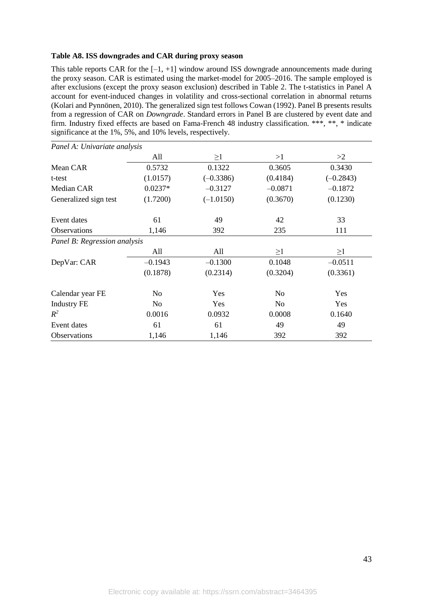## **Table A8. ISS downgrades and CAR during proxy season**

This table reports CAR for the  $[-1, +1]$  window around ISS downgrade announcements made during the proxy season. CAR is estimated using the market-model for 2005–2016. The sample employed is after exclusions (except the proxy season exclusion) described in Table 2. The t-statistics in Panel A account for event-induced changes in volatility and cross-sectional correlation in abnormal returns (Kolari and Pynnönen, 2010). The generalized sign test follows Cowan (1992). Panel B presents results from a regression of CAR on *Downgrade*. Standard errors in Panel B are clustered by event date and firm. Industry fixed effects are based on Fama-French 48 industry classification. \*\*\*, \*\*, \* indicate significance at the 1%, 5%, and 10% levels, respectively.

| Panel A: Univariate analysis |                |             |           |             |
|------------------------------|----------------|-------------|-----------|-------------|
|                              | All            | $\geq$ 1    | >1        | >2          |
| Mean CAR                     | 0.5732         | 0.1322      | 0.3605    | 0.3430      |
| t-test                       | (1.0157)       | $(-0.3386)$ | (0.4184)  | $(-0.2843)$ |
| Median CAR                   | $0.0237*$      | $-0.3127$   | $-0.0871$ | $-0.1872$   |
| Generalized sign test        | (1.7200)       | $(-1.0150)$ | (0.3670)  | (0.1230)    |
| Event dates                  | 61             | 49          | 42        | 33          |
| Observations                 | 1,146          | 392         | 235       | 111         |
| Panel B: Regression analysis |                |             |           |             |
|                              | All            | All         | $\geq$ 1  | $\geq$ 1    |
| DepVar: CAR                  | $-0.1943$      | $-0.1300$   | 0.1048    | $-0.0511$   |
|                              | (0.1878)       | (0.2314)    | (0.3204)  | (0.3361)    |
| Calendar year FE             | N <sub>0</sub> | Yes         | No.       | Yes         |
| <b>Industry FE</b>           | No             | Yes         | No.       | Yes         |
| $R^2$                        | 0.0016         | 0.0932      | 0.0008    | 0.1640      |
| Event dates                  | 61             | 61          | 49        | 49          |
| Observations                 | 1,146          | 1,146       | 392       | 392         |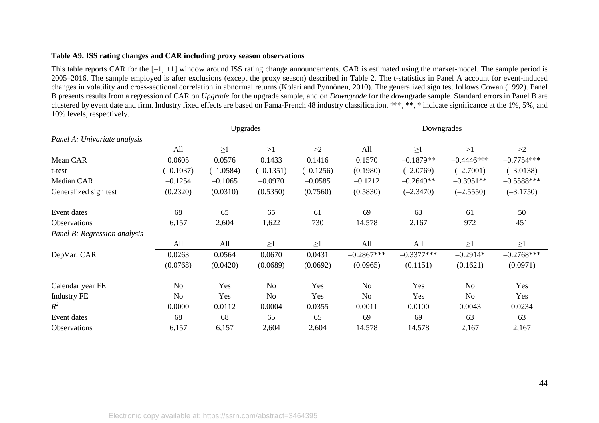#### **Table A9. ISS rating changes and CAR including proxy season observations**

This table reports CAR for the  $[-1, +1]$  window around ISS rating change announcements. CAR is estimated using the market-model. The sample period is 2005–2016. The sample employed is after exclusions (except the proxy season) described in Table 2. The t-statistics in Panel A account for event-induced changes in volatility and cross-sectional correlation in abnormal returns (Kolari and Pynnönen, 2010). The generalized sign test follows Cowan (1992). Panel B presents results from a regression of CAR on *Upgrade* for the upgrade sample, and on *Downgrade* for the downgrade sample. Standard errors in Panel B are clustered by event date and firm. Industry fixed effects are based on Fama-French 48 industry classification. \*\*\*, \*\*, \* indicate significance at the 1%, 5%, and 10% levels, respectively.

|                              | Upgrades    |             |                |             | Downgrades     |              |                |              |
|------------------------------|-------------|-------------|----------------|-------------|----------------|--------------|----------------|--------------|
| Panel A: Univariate analysis |             |             |                |             |                |              |                |              |
|                              | All         | $\geq$ 1    | >1             | >2          | All            | $\geq1$      | >1             | >2           |
| Mean CAR                     | 0.0605      | 0.0576      | 0.1433         | 0.1416      | 0.1570         | $-0.1879**$  | $-0.4446***$   | $-0.7754***$ |
| t-test                       | $(-0.1037)$ | $(-1.0584)$ | $(-0.1351)$    | $(-0.1256)$ | (0.1980)       | $(-2.0769)$  | $(-2.7001)$    | $(-3.0138)$  |
| Median CAR                   | $-0.1254$   | $-0.1065$   | $-0.0970$      | $-0.0585$   | $-0.1212$      | $-0.2649**$  | $-0.3951**$    | $-0.5588***$ |
| Generalized sign test        | (0.2320)    | (0.0310)    | (0.5350)       | (0.7560)    | (0.5830)       | $(-2.3470)$  | $(-2.5550)$    | $(-3.1750)$  |
| Event dates                  | 68          | 65          | 65             | 61          | 69             | 63           | 61             | 50           |
| Observations                 | 6,157       | 2,604       | 1,622          | 730         | 14,578         | 2,167        | 972            | 451          |
| Panel B: Regression analysis |             |             |                |             |                |              |                |              |
|                              | All         | All         | $\geq$ 1       | $\geq$ 1    | All            | All          | $\geq$ 1       | $\geq$ 1     |
| DepVar: CAR                  | 0.0263      | 0.0564      | 0.0670         | 0.0431      | $-0.2867***$   | $-0.3377***$ | $-0.2914*$     | $-0.2768***$ |
|                              | (0.0768)    | (0.0420)    | (0.0689)       | (0.0692)    | (0.0965)       | (0.1151)     | (0.1621)       | (0.0971)     |
| Calendar year FE             | No          | Yes         | N <sub>o</sub> | Yes         | N <sub>o</sub> | Yes          | N <sub>o</sub> | Yes          |
| <b>Industry FE</b>           | No          | Yes         | No             | Yes         | N <sub>o</sub> | Yes          | N <sub>o</sub> | Yes          |
| $R^2$                        | 0.0000      | 0.0112      | 0.0004         | 0.0355      | 0.0011         | 0.0100       | 0.0043         | 0.0234       |
| Event dates                  | 68          | 68          | 65             | 65          | 69             | 69           | 63             | 63           |
| Observations                 | 6,157       | 6,157       | 2,604          | 2,604       | 14,578         | 14,578       | 2,167          | 2,167        |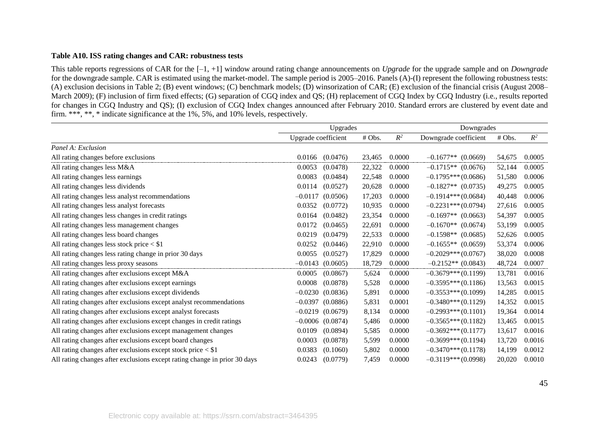#### **Table A10. ISS rating changes and CAR: robustness tests**

This table reports regressions of CAR for the [–1, +1] window around rating change announcements on *Upgrade* for the upgrade sample and on *Downgrade* for the downgrade sample. CAR is estimated using the market-model. The sample period is 2005–2016. Panels (A)-(I) represent the following robustness tests: (A) exclusion decisions in Table 2; (B) event windows; (C) benchmark models; (D) winsorization of CAR; (E) exclusion of the financial crisis (August 2008– March 2009); (F) inclusion of firm fixed effects; (G) separation of CGQ index and QS; (H) replacement of CGQ Index by CGQ Industry (i.e., results reported for changes in CGQ Industry and QS); (I) exclusion of CGQ Index changes announced after February 2010. Standard errors are clustered by event date and firm. \*\*\*, \*\*, \* indicate significance at the 1%, 5%, and 10% levels, respectively.

|                                                                           | Upgrades              |        |        | Downgrades            |        |        |
|---------------------------------------------------------------------------|-----------------------|--------|--------|-----------------------|--------|--------|
|                                                                           | Upgrade coefficient   | # Obs. | $R^2$  | Downgrade coefficient | # Obs. | $R^2$  |
| Panel A: Exclusion                                                        |                       |        |        |                       |        |        |
| All rating changes before exclusions                                      | (0.0476)<br>0.0166    | 23,465 | 0.0000 | $-0.1677**$ (0.0669)  | 54,675 | 0.0005 |
| All rating changes less M&A                                               | (0.0478)<br>0.0053    | 22,322 | 0.0000 | $-0.1715**$ (0.0676)  | 52,144 | 0.0005 |
| All rating changes less earnings                                          | 0.0083<br>(0.0484)    | 22,548 | 0.0000 | $-0.1795***$ (0.0686) | 51,580 | 0.0006 |
| All rating changes less dividends                                         | 0.0114<br>(0.0527)    | 20,628 | 0.0000 | $-0.1827**$ (0.0735)  | 49,275 | 0.0005 |
| All rating changes less analyst recommendations                           | $-0.0117$<br>(0.0506) | 17,203 | 0.0000 | $-0.1914***(0.0684)$  | 40,448 | 0.0006 |
| All rating changes less analyst forecasts                                 | 0.0352<br>(0.0772)    | 10,935 | 0.0000 | $-0.2231***(0.0794)$  | 27,616 | 0.0005 |
| All rating changes less changes in credit ratings                         | 0.0164<br>(0.0482)    | 23,354 | 0.0000 | $-0.1697**$ (0.0663)  | 54,397 | 0.0005 |
| All rating changes less management changes                                | 0.0172<br>(0.0465)    | 22,691 | 0.0000 | $-0.1670**$ (0.0674)  | 53,199 | 0.0005 |
| All rating changes less board changes                                     | 0.0219<br>(0.0479)    | 22,533 | 0.0000 | $-0.1598**$ (0.0685)  | 52,626 | 0.0005 |
| All rating changes less stock price $<$ \$1                               | 0.0252<br>(0.0446)    | 22,910 | 0.0000 | $-0.1655**$ (0.0659)  | 53,374 | 0.0006 |
| All rating changes less rating change in prior 30 days                    | 0.0055<br>(0.0527)    | 17,829 | 0.0000 | $-0.2029***(0.0767)$  | 38,020 | 0.0008 |
| All rating changes less proxy seasons                                     | $-0.0143$<br>(0.0605) | 18,729 | 0.0000 | $-0.2152**$ (0.0843)  | 48,724 | 0.0007 |
| All rating changes after exclusions except M&A                            | 0.0005<br>(0.0867)    | 5,624  | 0.0000 | $-0.3679***(0.1199)$  | 13,781 | 0.0016 |
| All rating changes after exclusions except earnings                       | 0.0008<br>(0.0878)    | 5,528  | 0.0000 | $-0.3595***(0.1186)$  | 13,563 | 0.0015 |
| All rating changes after exclusions except dividends                      | $-0.0230$<br>(0.0836) | 5,891  | 0.0000 | $-0.3553***(0.1099)$  | 14,285 | 0.0015 |
| All rating changes after exclusions except analyst recommendations        | $-0.0397$<br>(0.0886) | 5,831  | 0.0001 | $-0.3480***(0.1129)$  | 14,352 | 0.0015 |
| All rating changes after exclusions except analyst forecasts              | $-0.0219$<br>(0.0679) | 8,134  | 0.0000 | $-0.2993***(0.1101)$  | 19,364 | 0.0014 |
| All rating changes after exclusions except changes in credit ratings      | $-0.0006$ $(0.0874)$  | 5,486  | 0.0000 | $-0.3565***(0.1182)$  | 13,465 | 0.0015 |
| All rating changes after exclusions except management changes             | 0.0109<br>(0.0894)    | 5,585  | 0.0000 | $-0.3692***(0.1177)$  | 13,617 | 0.0016 |
| All rating changes after exclusions except board changes                  | 0.0003<br>(0.0878)    | 5,599  | 0.0000 | $-0.3699***(0.1194)$  | 13,720 | 0.0016 |
| All rating changes after exclusions except stock price $<$ \$1            | 0.0383<br>(0.1060)    | 5,802  | 0.0000 | $-0.3470***(0.1178)$  | 14,199 | 0.0012 |
| All rating changes after exclusions except rating change in prior 30 days | 0.0243<br>(0.0779)    | 7,459  | 0.0000 | $-0.3119***(0.0998)$  | 20,020 | 0.0010 |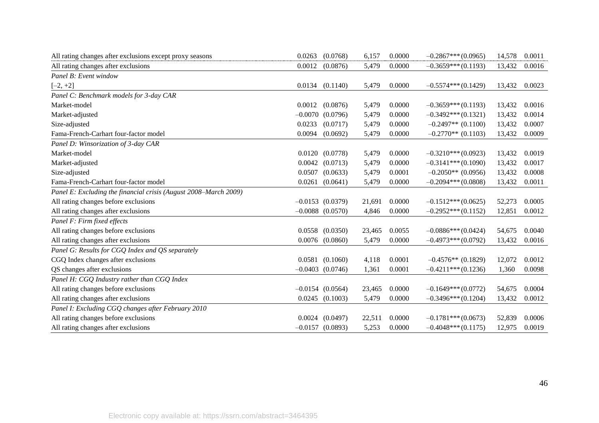| All rating changes after exclusions except proxy seasons         | 0.0263    | (0.0768)             | 6,157  | 0.0000 | $-0.2867***(0.0965)$ | 14,578 | 0.0011 |
|------------------------------------------------------------------|-----------|----------------------|--------|--------|----------------------|--------|--------|
| All rating changes after exclusions                              | 0.0012    | (0.0876)             | 5,479  | 0.0000 | $-0.3659***(0.1193)$ | 13,432 | 0.0016 |
| Panel B: Event window                                            |           |                      |        |        |                      |        |        |
| $[-2, +2]$                                                       | 0.0134    | (0.1140)             | 5,479  | 0.0000 | $-0.5574***(0.1429)$ | 13,432 | 0.0023 |
| Panel C: Benchmark models for 3-day CAR                          |           |                      |        |        |                      |        |        |
| Market-model                                                     | 0.0012    | (0.0876)             | 5,479  | 0.0000 | $-0.3659***(0.1193)$ | 13,432 | 0.0016 |
| Market-adjusted                                                  | $-0.0070$ | (0.0796)             | 5,479  | 0.0000 | $-0.3492***(0.1321)$ | 13,432 | 0.0014 |
| Size-adjusted                                                    | 0.0233    | (0.0717)             | 5,479  | 0.0000 | $-0.2497**$ (0.1100) | 13,432 | 0.0007 |
| Fama-French-Carhart four-factor model                            | 0.0094    | (0.0692)             | 5,479  | 0.0000 | $-0.2770**$ (0.1103) | 13,432 | 0.0009 |
| Panel D: Winsorization of 3-day CAR                              |           |                      |        |        |                      |        |        |
| Market-model                                                     | 0.0120    | (0.0778)             | 5,479  | 0.0000 | $-0.3210***(0.0923)$ | 13,432 | 0.0019 |
| Market-adjusted                                                  |           | $0.0042$ $(0.0713)$  | 5,479  | 0.0000 | $-0.3141***(0.1090)$ | 13,432 | 0.0017 |
| Size-adjusted                                                    | 0.0507    | (0.0633)             | 5,479  | 0.0001 | $-0.2050**$ (0.0956) | 13,432 | 0.0008 |
| Fama-French-Carhart four-factor model                            | 0.0261    | (0.0641)             | 5,479  | 0.0000 | $-0.2094***(0.0808)$ | 13,432 | 0.0011 |
| Panel E: Excluding the financial crisis (August 2008–March 2009) |           |                      |        |        |                      |        |        |
| All rating changes before exclusions                             |           | $-0.0153$ $(0.0379)$ | 21,691 | 0.0000 | $-0.1512***(0.0625)$ | 52,273 | 0.0005 |
| All rating changes after exclusions                              |           | $-0.0088$ $(0.0570)$ | 4,846  | 0.0000 | $-0.2952***(0.1152)$ | 12,851 | 0.0012 |
| Panel F: Firm fixed effects                                      |           |                      |        |        |                      |        |        |
| All rating changes before exclusions                             |           | $0.0558$ $(0.0350)$  | 23,465 | 0.0055 | $-0.0886***(0.0424)$ | 54,675 | 0.0040 |
| All rating changes after exclusions                              |           | $0.0076$ $(0.0860)$  | 5,479  | 0.0000 | $-0.4973***(0.0792)$ | 13,432 | 0.0016 |
| Panel G: Results for CGQ Index and QS separately                 |           |                      |        |        |                      |        |        |
| CGQ Index changes after exclusions                               | 0.0581    | (0.1060)             | 4,118  | 0.0001 | $-0.4576**$ (0.1829) | 12,072 | 0.0012 |
| QS changes after exclusions                                      |           | $-0.0403$ $(0.0746)$ | 1,361  | 0.0001 | $-0.4211***(0.1236)$ | 1,360  | 0.0098 |
| Panel H: CGQ Industry rather than CGQ Index                      |           |                      |        |        |                      |        |        |
| All rating changes before exclusions                             |           | $-0.0154$ (0.0564)   | 23,465 | 0.0000 | $-0.1649***(0.0772)$ | 54,675 | 0.0004 |
| All rating changes after exclusions                              | 0.0245    | (0.1003)             | 5,479  | 0.0000 | $-0.3496***(0.1204)$ | 13,432 | 0.0012 |
| Panel I: Excluding CGQ changes after February 2010               |           |                      |        |        |                      |        |        |
| All rating changes before exclusions                             | 0.0024    | (0.0497)             | 22,511 | 0.0000 | $-0.1781***(0.0673)$ | 52,839 | 0.0006 |
| All rating changes after exclusions                              |           | $-0.0157$ (0.0893)   | 5,253  | 0.0000 | $-0.4048***(0.1175)$ | 12,975 | 0.0019 |